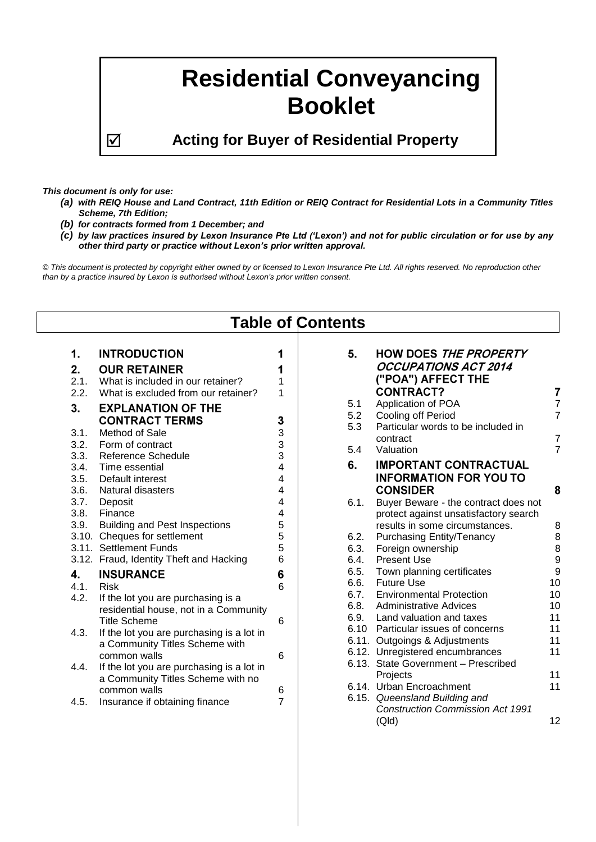# **Residential Conveyancing Booklet**

**Acting for Buyer of Residential Property**

*This document is only for use:*

- *(a) with REIQ House and Land Contract, 11th Edition or REIQ Contract for Residential Lots in a Community Titles Scheme, 7th Edition;*
- *(b) for contracts formed from 1 December; and*
- *(c) by law practices insured by Lexon Insurance Pte Ltd ('Lexon') and not for public circulation or for use by any other third party or practice without Lexon's prior written approval.*

*© This document is protected by copyright either owned by or licensed to Lexon Insurance Pte Ltd. All rights reserved. No reproduction other than by a practice insured by Lexon is authorised without Lexon's prior written consent.*

| <b>Table of Contents</b>                                               |                                                                                                                                                                                                                                                                                       |                                           |                                      |                                                                                                                                                                                                                                                                                                  |                                                              |  |  |  |  |
|------------------------------------------------------------------------|---------------------------------------------------------------------------------------------------------------------------------------------------------------------------------------------------------------------------------------------------------------------------------------|-------------------------------------------|--------------------------------------|--------------------------------------------------------------------------------------------------------------------------------------------------------------------------------------------------------------------------------------------------------------------------------------------------|--------------------------------------------------------------|--|--|--|--|
| 1.<br>2.<br>2.1.<br>2.2.<br>3.<br>3.1.<br>3.2.<br>3.3.<br>3.4.<br>3.5. | <b>INTRODUCTION</b><br><b>OUR RETAINER</b><br>What is included in our retainer?<br>What is excluded from our retainer?<br><b>EXPLANATION OF THE</b><br><b>CONTRACT TERMS</b><br>Method of Sale<br>Form of contract<br><b>Reference Schedule</b><br>Time essential<br>Default interest | 1<br>1<br>1<br>3<br>3<br>3<br>3<br>4<br>4 | 5.<br>5.1<br>5.2<br>5.3<br>5.4<br>6. | <b>HOW DOES THE PROPERTY</b><br><b>OCCUPATIONS ACT 2014</b><br>("POA") AFFECT THE<br><b>CONTRACT?</b><br>Application of POA<br>Cooling off Period<br>Particular words to be included in<br>contract<br>Valuation<br><b>IMPORTANT CONTRACTUAL</b><br><b>INFORMATION FOR YOU TO</b>                | 7<br>$\overline{7}$<br>$\overline{7}$<br>7<br>$\overline{7}$ |  |  |  |  |
| 3.6.<br>3.7.<br>3.8.<br>3.9.                                           | Natural disasters<br>Deposit<br>Finance<br><b>Building and Pest Inspections</b><br>3.10. Cheques for settlement<br>3.11. Settlement Funds<br>3.12. Fraud, Identity Theft and Hacking                                                                                                  | 4<br>4<br>4<br>5<br>5<br>5<br>6           | 6.1.<br>6.2.<br>6.3.<br>6.4.         | <b>CONSIDER</b><br>Buyer Beware - the contract does not<br>protect against unsatisfactory search<br>results in some circumstances.<br><b>Purchasing Entity/Tenancy</b><br>Foreign ownership<br><b>Present Use</b>                                                                                | 8<br>8<br>8<br>8<br>$\boldsymbol{9}$                         |  |  |  |  |
| 4.<br>4.1.<br>4.2.<br>4.3.<br>4.4.                                     | <b>INSURANCE</b><br><b>Risk</b><br>If the lot you are purchasing is a<br>residential house, not in a Community<br><b>Title Scheme</b><br>If the lot you are purchasing is a lot in<br>a Community Titles Scheme with<br>common walls<br>If the lot you are purchasing is a lot in     | 6<br>6<br>6<br>6                          | 6.5.<br>6.6.<br>6.7.<br>6.8.<br>6.9. | Town planning certificates<br><b>Future Use</b><br><b>Environmental Protection</b><br><b>Administrative Advices</b><br>Land valuation and taxes<br>6.10 Particular issues of concerns<br>6.11. Outgoings & Adjustments<br>6.12. Unregistered encumbrances<br>6.13. State Government - Prescribed | 9<br>10<br>10<br>10<br>11<br>11<br>11<br>11                  |  |  |  |  |
| 4.5.                                                                   | a Community Titles Scheme with no<br>common walls<br>Insurance if obtaining finance                                                                                                                                                                                                   | 6<br>$\overline{7}$                       |                                      | Projects<br>6.14. Urban Encroachment<br>6.15. Queensland Building and<br><b>Construction Commission Act 1991</b><br>(Qld)                                                                                                                                                                        | 11<br>11<br>12                                               |  |  |  |  |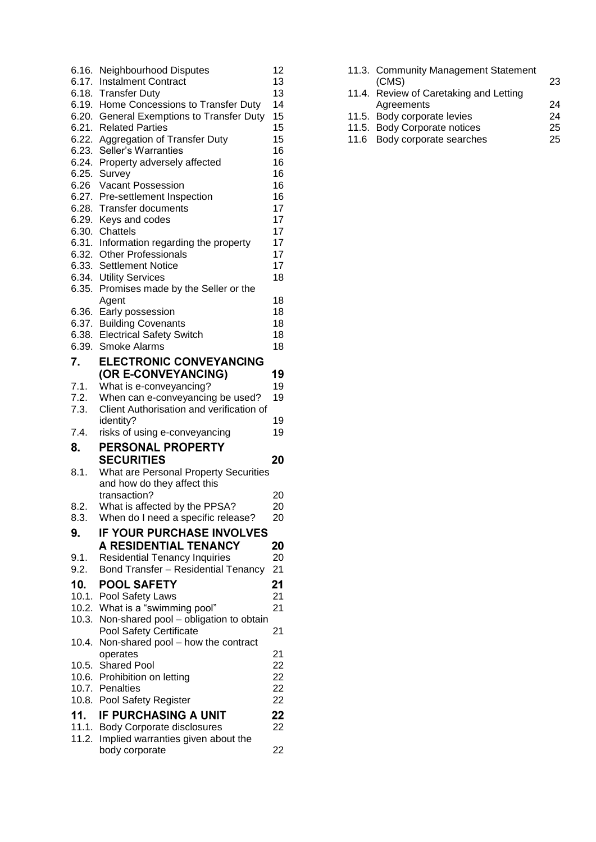| 6.16. | <b>Neighbourhood Disputes</b>                                    | 12 |
|-------|------------------------------------------------------------------|----|
| 6.17. | <b>Instalment Contract</b>                                       | 13 |
| 6.18. | <b>Transfer Duty</b>                                             | 13 |
| 6.19. | Home Concessions to Transfer Duty                                | 14 |
| 6.20. | <b>General Exemptions to Transfer Duty</b>                       | 15 |
|       | 6.21. Related Parties                                            | 15 |
|       | 6.22. Aggregation of Transfer Duty                               | 15 |
| 6.23. | Seller's Warranties                                              | 16 |
| 6.24. | Property adversely affected                                      | 16 |
| 6.25. | Survey                                                           | 16 |
| 6.26  | <b>Vacant Possession</b>                                         | 16 |
| 6.27. | Pre-settlement Inspection                                        | 16 |
| 6.28. | <b>Transfer documents</b>                                        | 17 |
| 6.29. | Keys and codes                                                   | 17 |
| 6.30. | Chattels                                                         | 17 |
| 6.31. |                                                                  | 17 |
| 6.32. | Information regarding the property<br><b>Other Professionals</b> | 17 |
|       |                                                                  |    |
| 6.33. | <b>Settlement Notice</b>                                         | 17 |
|       | 6.34. Utility Services                                           | 18 |
| 6.35. | Promises made by the Seller or the                               |    |
|       | Agent                                                            | 18 |
| 6.36. | Early possession                                                 | 18 |
| 6.37. | <b>Building Covenants</b>                                        | 18 |
| 6.38. | <b>Electrical Safety Switch</b>                                  | 18 |
| 6.39. | <b>Smoke Alarms</b>                                              | 18 |
| 7.    | <b>ELECTRONIC CONVEYANCING</b>                                   |    |
|       | (OR E-CONVEYANCING)                                              | 19 |
| 7.1.  | What is e-conveyancing?                                          | 19 |
| 7.2.  | When can e-conveyancing be used?                                 | 19 |
| 7.3.  | Client Authorisation and verification of                         |    |
|       |                                                                  |    |
|       |                                                                  |    |
|       | identity?                                                        | 19 |
| 7.4.  | risks of using e-conveyancing                                    | 19 |
| 8.    | PERSONAL PROPERTY                                                |    |
|       | <b>SECURITIES</b>                                                | 20 |
| 8.1.  | <b>What are Personal Property Securities</b>                     |    |
|       | and how do they affect this                                      |    |
|       | transaction?                                                     | 20 |
| 8.2.  | What is affected by the PPSA?                                    | 20 |
| 8.3.  | When do I need a specific release?                               | 20 |
|       |                                                                  |    |
| 9.    | <b>IF YOUR PURCHASE INVOLVES</b>                                 |    |
|       | <b>A RESIDENTIAL TENANCY</b>                                     | 20 |
| 9.1.  | <b>Residential Tenancy Inquiries</b>                             | 20 |
| 9.2.  | <b>Bond Transfer - Residential Tenancy</b>                       | 21 |
| 10.   | <b>POOL SAFETY</b>                                               | 21 |
| 10.1. | Pool Safety Laws                                                 | 21 |
|       | 10.2. What is a "swimming pool"                                  | 21 |
| 10.3. | Non-shared pool - obligation to obtain                           |    |
|       | Pool Safety Certificate                                          | 21 |
| 10.4. | Non-shared pool - how the contract                               |    |
|       | operates                                                         | 21 |
| 10.5. | <b>Shared Pool</b>                                               | 22 |
|       | 10.6. Prohibition on letting                                     | 22 |
| 10.7. | Penalties                                                        | 22 |
| 10.8. | Pool Safety Register                                             | 22 |
|       |                                                                  |    |
| 11.   | <b>IF PURCHASING A UNIT</b>                                      | 22 |
| 11.1. | <b>Body Corporate disclosures</b>                                | 22 |
| 11.2. | Implied warranties given about the<br>body corporate             | 22 |

|  | 11.3. Community Management Statement<br>(CMS) | 23 |
|--|-----------------------------------------------|----|
|  | 11.4. Review of Caretaking and Letting        |    |
|  | Agreements                                    | 24 |
|  | 11.5. Body corporate levies                   | 24 |
|  | 11.5. Body Corporate notices                  | 25 |
|  | 11.6 Body corporate searches                  | 25 |
|  |                                               |    |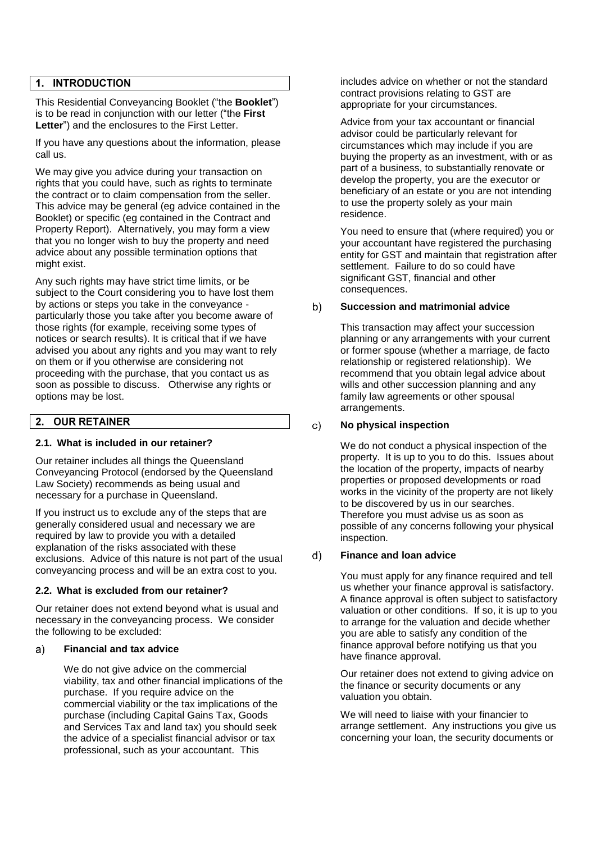#### $1.$ **INTRODUCTION**

This Residential Conveyancing Booklet ("the **Booklet**") is to be read in conjunction with our letter ("the **First Letter**") and the enclosures to the First Letter.

If you have any questions about the information, please call us.

We may give you advice during your transaction on rights that you could have, such as rights to terminate the contract or to claim compensation from the seller. This advice may be general (eg advice contained in the Booklet) or specific (eg contained in the Contract and Property Report). Alternatively, you may form a view that you no longer wish to buy the property and need advice about any possible termination options that might exist.

Any such rights may have strict time limits, or be subject to the Court considering you to have lost them by actions or steps you take in the conveyance particularly those you take after you become aware of those rights (for example, receiving some types of notices or search results). It is critical that if we have advised you about any rights and you may want to rely on them or if you otherwise are considering not proceeding with the purchase, that you contact us as soon as possible to discuss. Otherwise any rights or options may be lost.

#### **OUR RETAINER**  $2.$

#### **2.1. What is included in our retainer?**

Our retainer includes all things the Queensland Conveyancing Protocol (endorsed by the Queensland Law Society) recommends as being usual and necessary for a purchase in Queensland.

If you instruct us to exclude any of the steps that are generally considered usual and necessary we are required by law to provide you with a detailed explanation of the risks associated with these exclusions. Advice of this nature is not part of the usual conveyancing process and will be an extra cost to you.

#### <span id="page-2-0"></span>**2.2. What is excluded from our retainer?**

Our retainer does not extend beyond what is usual and necessary in the conveyancing process. We consider the following to be excluded:

#### a) **Financial and tax advice**

We do not give advice on the commercial viability, tax and other financial implications of the purchase. If you require advice on the commercial viability or the tax implications of the purchase (including Capital Gains Tax, Goods and Services Tax and land tax) you should seek the advice of a specialist financial advisor or tax professional, such as your accountant. This

includes advice on whether or not the standard contract provisions relating to GST are appropriate for your circumstances.

Advice from your tax accountant or financial advisor could be particularly relevant for circumstances which may include if you are buying the property as an investment, with or as part of a business, to substantially renovate or develop the property, you are the executor or beneficiary of an estate or you are not intending to use the property solely as your main residence.

You need to ensure that (where required) you or your accountant have registered the purchasing entity for GST and maintain that registration after settlement. Failure to do so could have significant GST, financial and other consequences.

#### b) **Succession and matrimonial advice**

This transaction may affect your succession planning or any arrangements with your current or former spouse (whether a marriage, de facto relationship or registered relationship). We recommend that you obtain legal advice about wills and other succession planning and any family law agreements or other spousal arrangements.

#### **No physical inspection**  $\mathbf{C}$

We do not conduct a physical inspection of the property. It is up to you to do this. Issues about the location of the property, impacts of nearby properties or proposed developments or road works in the vicinity of the property are not likely to be discovered by us in our searches. Therefore you must advise us as soon as possible of any concerns following your physical inspection.

#### $d)$ **Finance and loan advice**

You must apply for any finance required and tell us whether your finance approval is satisfactory. A finance approval is often subject to satisfactory valuation or other conditions. If so, it is up to you to arrange for the valuation and decide whether you are able to satisfy any condition of the finance approval before notifying us that you have finance approval.

Our retainer does not extend to giving advice on the finance or security documents or any valuation you obtain.

We will need to liaise with your financier to arrange settlement. Any instructions you give us concerning your loan, the security documents or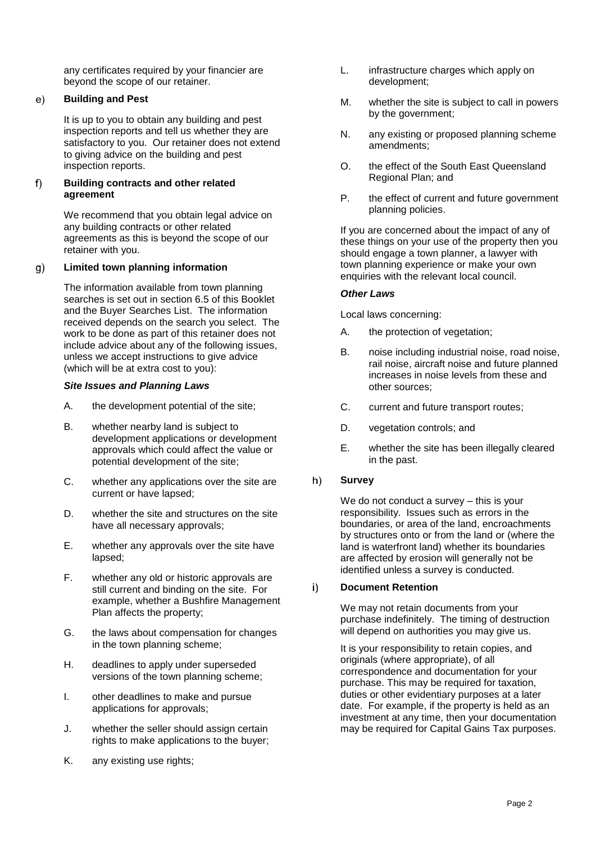any certificates required by your financier are beyond the scope of our retainer.

#### $e)$ **Building and Pest**

It is up to you to obtain any building and pest inspection reports and tell us whether they are satisfactory to you. Our retainer does not extend to giving advice on the building and pest inspection reports.

#### **Building contracts and other related**   $f$ **agreement**

We recommend that you obtain legal advice on any building contracts or other related agreements as this is beyond the scope of our retainer with you.

#### $g)$ **Limited town planning information**

The information available from town planning searches is set out in section [6.5](#page-10-0) of this Booklet and the Buyer Searches List. The information received depends on the search you select. The work to be done as part of this retainer does not include advice about any of the following issues, unless we accept instructions to give advice (which will be at extra cost to you):

#### *Site Issues and Planning Laws*

- A. the development potential of the site;
- B. whether nearby land is subject to development applications or development approvals which could affect the value or potential development of the site;
- C. whether any applications over the site are current or have lapsed;
- D. whether the site and structures on the site have all necessary approvals;
- E. whether any approvals over the site have lapsed;
- F. whether any old or historic approvals are still current and binding on the site. For example, whether a Bushfire Management Plan affects the property;
- G. the laws about compensation for changes in the town planning scheme;
- H. deadlines to apply under superseded versions of the town planning scheme;
- I. other deadlines to make and pursue applications for approvals;
- J. whether the seller should assign certain rights to make applications to the buyer;
- K. any existing use rights;
- L. infrastructure charges which apply on development;
- M. whether the site is subject to call in powers by the government;
- N. any existing or proposed planning scheme amendments;
- O. the effect of the South East Queensland Regional Plan; and
- P. the effect of current and future government planning policies.

If you are concerned about the impact of any of these things on your use of the property then you should engage a town planner, a lawyer with town planning experience or make your own enquiries with the relevant local council.

#### *Other Laws*

Local laws concerning:

- A. the protection of vegetation;
- B. noise including industrial noise, road noise, rail noise, aircraft noise and future planned increases in noise levels from these and other sources;
- C. current and future transport routes;
- D. vegetation controls; and
- E. whether the site has been illegally cleared in the past.

#### $h)$ **Survey**

We do not conduct a survey – this is your responsibility. Issues such as errors in the boundaries, or area of the land, encroachments by structures onto or from the land or (where the land is waterfront land) whether its boundaries are affected by erosion will generally not be identified unless a survey is conducted.

#### $i)$ **Document Retention**

We may not retain documents from your purchase indefinitely. The timing of destruction will depend on authorities you may give us.

It is your responsibility to retain copies, and originals (where appropriate), of all correspondence and documentation for your purchase. This may be required for taxation, duties or other evidentiary purposes at a later date. For example, if the property is held as an investment at any time, then your documentation may be required for Capital Gains Tax purposes.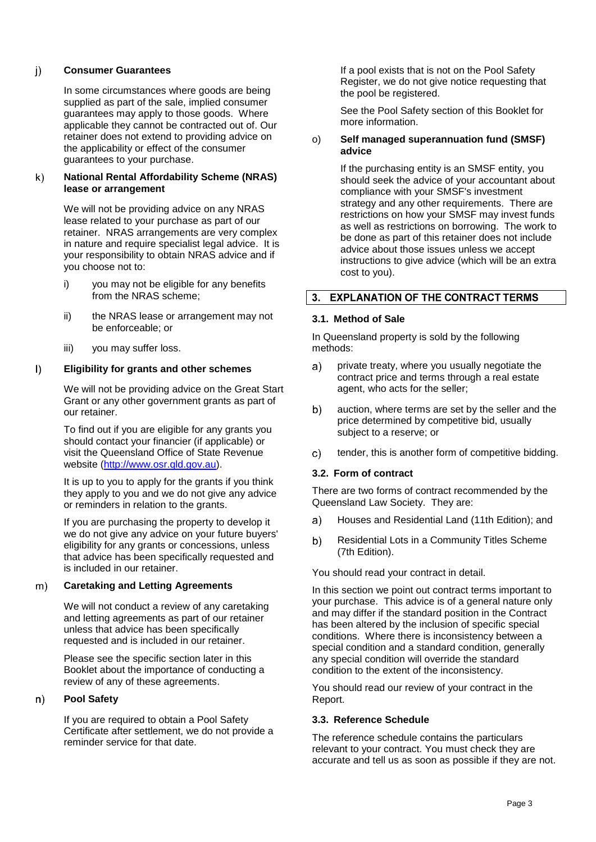#### $j)$ **Consumer Guarantees**

In some circumstances where goods are being supplied as part of the sale, implied consumer guarantees may apply to those goods. Where applicable they cannot be contracted out of. Our retainer does not extend to providing advice on the applicability or effect of the consumer guarantees to your purchase.

#### **National Rental Affordability Scheme (NRAS)**   $\mathsf{k}$ **lease or arrangement**

We will not be providing advice on any NRAS lease related to your purchase as part of our retainer. NRAS arrangements are very complex in nature and require specialist legal advice. It is your responsibility to obtain NRAS advice and if you choose not to:

- i) you may not be eligible for any benefits from the NRAS scheme;
- ii) the NRAS lease or arrangement may not be enforceable; or
- iii) you may suffer loss.

#### **Eligibility for grants and other schemes**  $\vert$ )

We will not be providing advice on the Great Start Grant or any other government grants as part of our retainer.

To find out if you are eligible for any grants you should contact your financier (if applicable) or visit the Queensland Office of State Revenue website [\(http://www.osr.qld.gov.au\)](http://www.osr.qld.gov.au/).

It is up to you to apply for the grants if you think they apply to you and we do not give any advice or reminders in relation to the grants.

If you are purchasing the property to develop it we do not give any advice on your future buyers' eligibility for any grants or concessions, unless that advice has been specifically requested and is included in our retainer.

#### **Caretaking and Letting Agreements**  $m)$

We will not conduct a review of any caretaking and letting agreements as part of our retainer unless that advice has been specifically requested and is included in our retainer.

Please see the specific section later in this Booklet about the importance of conducting a review of any of these agreements.

#### $n)$ **Pool Safety**

If you are required to obtain a Pool Safety Certificate after settlement, we do not provide a reminder service for that date.

If a pool exists that is not on the Pool Safety Register, we do not give notice requesting that the pool be registered.

See the Pool Safety section of this Booklet for more information.

#### o) **Self managed superannuation fund (SMSF) advice**

If the purchasing entity is an SMSF entity, you should seek the advice of your accountant about compliance with your SMSF's investment strategy and any other requirements. There are restrictions on how your SMSF may invest funds as well as restrictions on borrowing. The work to be done as part of this retainer does not include advice about those issues unless we accept instructions to give advice (which will be an extra cost to you).

# 3. EXPLANATION OF THE CONTRACT TERMS

#### **3.1. Method of Sale**

In Queensland property is sold by the following methods:

- $a)$ private treaty, where you usually negotiate the contract price and terms through a real estate agent, who acts for the seller;
- b) auction, where terms are set by the seller and the price determined by competitive bid, usually subject to a reserve; or
- c) tender, this is another form of competitive bidding.

#### **3.2. Form of contract**

There are two forms of contract recommended by the Queensland Law Society. They are:

- Houses and Residential Land (11th Edition); and  $a)$
- b) Residential Lots in a Community Titles Scheme (7th Edition).

You should read your contract in detail.

In this section we point out contract terms important to your purchase. This advice is of a general nature only and may differ if the standard position in the Contract has been altered by the inclusion of specific special conditions. Where there is inconsistency between a special condition and a standard condition, generally any special condition will override the standard condition to the extent of the inconsistency.

You should read our review of your contract in the Report.

### **3.3. Reference Schedule**

The reference schedule contains the particulars relevant to your contract. You must check they are accurate and tell us as soon as possible if they are not.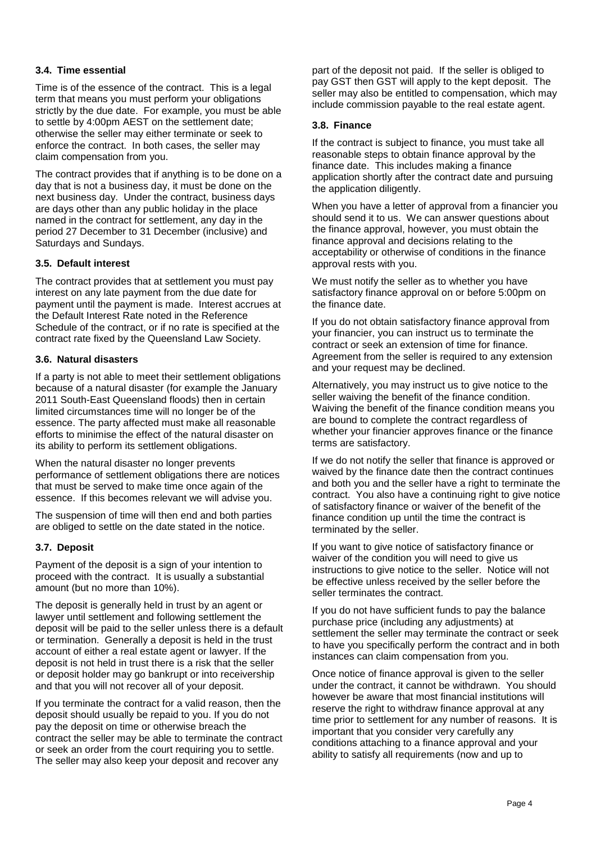#### **3.4. Time essential**

Time is of the essence of the contract. This is a legal term that means you must perform your obligations strictly by the due date. For example, you must be able to settle by 4:00pm AEST on the settlement date; otherwise the seller may either terminate or seek to enforce the contract. In both cases, the seller may claim compensation from you.

The contract provides that if anything is to be done on a day that is not a business day, it must be done on the next business day. Under the contract, business days are days other than any public holiday in the place named in the contract for settlement, any day in the period 27 December to 31 December (inclusive) and Saturdays and Sundays.

#### **3.5. Default interest**

The contract provides that at settlement you must pay interest on any late payment from the due date for payment until the payment is made. Interest accrues at the Default Interest Rate noted in the Reference Schedule of the contract, or if no rate is specified at the contract rate fixed by the Queensland Law Society.

#### **3.6. Natural disasters**

If a party is not able to meet their settlement obligations because of a natural disaster (for example the January 2011 South-East Queensland floods) then in certain limited circumstances time will no longer be of the essence. The party affected must make all reasonable efforts to minimise the effect of the natural disaster on its ability to perform its settlement obligations.

When the natural disaster no longer prevents performance of settlement obligations there are notices that must be served to make time once again of the essence. If this becomes relevant we will advise you.

The suspension of time will then end and both parties are obliged to settle on the date stated in the notice.

#### **3.7. Deposit**

Payment of the deposit is a sign of your intention to proceed with the contract. It is usually a substantial amount (but no more than 10%).

The deposit is generally held in trust by an agent or lawyer until settlement and following settlement the deposit will be paid to the seller unless there is a default or termination. Generally a deposit is held in the trust account of either a real estate agent or lawyer. If the deposit is not held in trust there is a risk that the seller or deposit holder may go bankrupt or into receivership and that you will not recover all of your deposit.

If you terminate the contract for a valid reason, then the deposit should usually be repaid to you. If you do not pay the deposit on time or otherwise breach the contract the seller may be able to terminate the contract or seek an order from the court requiring you to settle. The seller may also keep your deposit and recover any

part of the deposit not paid. If the seller is obliged to pay GST then GST will apply to the kept deposit. The seller may also be entitled to compensation, which may include commission payable to the real estate agent.

#### **3.8. Finance**

If the contract is subject to finance, you must take all reasonable steps to obtain finance approval by the finance date. This includes making a finance application shortly after the contract date and pursuing the application diligently.

When you have a letter of approval from a financier you should send it to us. We can answer questions about the finance approval, however, you must obtain the finance approval and decisions relating to the acceptability or otherwise of conditions in the finance approval rests with you.

We must notify the seller as to whether you have satisfactory finance approval on or before 5:00pm on the finance date.

If you do not obtain satisfactory finance approval from your financier, you can instruct us to terminate the contract or seek an extension of time for finance. Agreement from the seller is required to any extension and your request may be declined.

Alternatively, you may instruct us to give notice to the seller waiving the benefit of the finance condition. Waiving the benefit of the finance condition means you are bound to complete the contract regardless of whether your financier approves finance or the finance terms are satisfactory.

If we do not notify the seller that finance is approved or waived by the finance date then the contract continues and both you and the seller have a right to terminate the contract. You also have a continuing right to give notice of satisfactory finance or waiver of the benefit of the finance condition up until the time the contract is terminated by the seller.

If you want to give notice of satisfactory finance or waiver of the condition you will need to give us instructions to give notice to the seller. Notice will not be effective unless received by the seller before the seller terminates the contract.

If you do not have sufficient funds to pay the balance purchase price (including any adjustments) at settlement the seller may terminate the contract or seek to have you specifically perform the contract and in both instances can claim compensation from you.

Once notice of finance approval is given to the seller under the contract, it cannot be withdrawn. You should however be aware that most financial institutions will reserve the right to withdraw finance approval at any time prior to settlement for any number of reasons. It is important that you consider very carefully any conditions attaching to a finance approval and your ability to satisfy all requirements (now and up to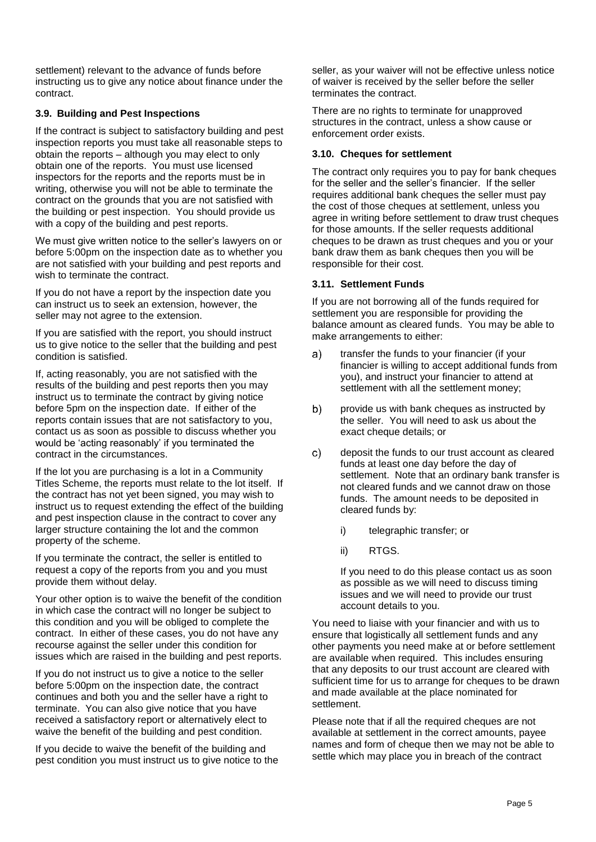settlement) relevant to the advance of funds before instructing us to give any notice about finance under the contract.

### **3.9. Building and Pest Inspections**

If the contract is subject to satisfactory building and pest inspection reports you must take all reasonable steps to obtain the reports – although you may elect to only obtain one of the reports. You must use licensed inspectors for the reports and the reports must be in writing, otherwise you will not be able to terminate the contract on the grounds that you are not satisfied with the building or pest inspection. You should provide us with a copy of the building and pest reports.

We must give written notice to the seller's lawyers on or before 5:00pm on the inspection date as to whether you are not satisfied with your building and pest reports and wish to terminate the contract.

If you do not have a report by the inspection date you can instruct us to seek an extension, however, the seller may not agree to the extension.

If you are satisfied with the report, you should instruct us to give notice to the seller that the building and pest condition is satisfied.

If, acting reasonably, you are not satisfied with the results of the building and pest reports then you may instruct us to terminate the contract by giving notice before 5pm on the inspection date. If either of the reports contain issues that are not satisfactory to you, contact us as soon as possible to discuss whether you would be 'acting reasonably' if you terminated the contract in the circumstances.

If the lot you are purchasing is a lot in a Community Titles Scheme, the reports must relate to the lot itself. If the contract has not yet been signed, you may wish to instruct us to request extending the effect of the building and pest inspection clause in the contract to cover any larger structure containing the lot and the common property of the scheme.

If you terminate the contract, the seller is entitled to request a copy of the reports from you and you must provide them without delay.

Your other option is to waive the benefit of the condition in which case the contract will no longer be subject to this condition and you will be obliged to complete the contract. In either of these cases, you do not have any recourse against the seller under this condition for issues which are raised in the building and pest reports.

If you do not instruct us to give a notice to the seller before 5:00pm on the inspection date, the contract continues and both you and the seller have a right to terminate. You can also give notice that you have received a satisfactory report or alternatively elect to waive the benefit of the building and pest condition.

If you decide to waive the benefit of the building and pest condition you must instruct us to give notice to the seller, as your waiver will not be effective unless notice of waiver is received by the seller before the seller terminates the contract.

There are no rights to terminate for unapproved structures in the contract, unless a show cause or enforcement order exists.

### **3.10. Cheques for settlement**

The contract only requires you to pay for bank cheques for the seller and the seller's financier. If the seller requires additional bank cheques the seller must pay the cost of those cheques at settlement, unless you agree in writing before settlement to draw trust cheques for those amounts. If the seller requests additional cheques to be drawn as trust cheques and you or your bank draw them as bank cheques then you will be responsible for their cost.

#### **3.11. Settlement Funds**

If you are not borrowing all of the funds required for settlement you are responsible for providing the balance amount as cleared funds. You may be able to make arrangements to either:

- $a)$ transfer the funds to your financier (if your financier is willing to accept additional funds from you), and instruct your financier to attend at settlement with all the settlement money;
- b) provide us with bank cheques as instructed by the seller. You will need to ask us about the exact cheque details; or
- $c)$ deposit the funds to our trust account as cleared funds at least one day before the day of settlement. Note that an ordinary bank transfer is not cleared funds and we cannot draw on those funds. The amount needs to be deposited in cleared funds by:
	- i) telegraphic transfer; or
	- ii) RTGS.

If you need to do this please contact us as soon as possible as we will need to discuss timing issues and we will need to provide our trust account details to you.

You need to liaise with your financier and with us to ensure that logistically all settlement funds and any other payments you need make at or before settlement are available when required. This includes ensuring that any deposits to our trust account are cleared with sufficient time for us to arrange for cheques to be drawn and made available at the place nominated for settlement.

Please note that if all the required cheques are not available at settlement in the correct amounts, payee names and form of cheque then we may not be able to settle which may place you in breach of the contract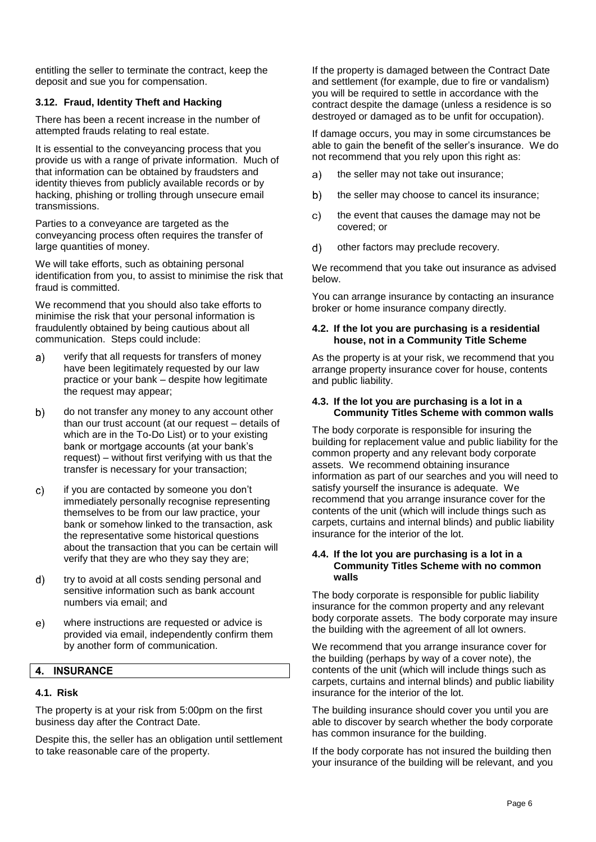entitling the seller to terminate the contract, keep the deposit and sue you for compensation.

### **3.12. Fraud, Identity Theft and Hacking**

There has been a recent increase in the number of attempted frauds relating to real estate.

It is essential to the conveyancing process that you provide us with a range of private information. Much of that information can be obtained by fraudsters and identity thieves from publicly available records or by hacking, phishing or trolling through unsecure email transmissions.

Parties to a conveyance are targeted as the conveyancing process often requires the transfer of large quantities of money.

We will take efforts, such as obtaining personal identification from you, to assist to minimise the risk that fraud is committed.

We recommend that you should also take efforts to minimise the risk that your personal information is fraudulently obtained by being cautious about all communication. Steps could include:

- verify that all requests for transfers of money a) have been legitimately requested by our law practice or your bank – despite how legitimate the request may appear;
- $b)$ do not transfer any money to any account other than our trust account (at our request – details of which are in the To-Do List) or to your existing bank or mortgage accounts (at your bank's request) – without first verifying with us that the transfer is necessary for your transaction;
- if you are contacted by someone you don't  $\mathbf{C}$ immediately personally recognise representing themselves to be from our law practice, your bank or somehow linked to the transaction, ask the representative some historical questions about the transaction that you can be certain will verify that they are who they say they are;
- $d)$ try to avoid at all costs sending personal and sensitive information such as bank account numbers via email; and
- where instructions are requested or advice is  $e)$ provided via email, independently confirm them by another form of communication.

#### 4. INSURANCE

#### **4.1. Risk**

The property is at your risk from 5:00pm on the first business day after the Contract Date.

Despite this, the seller has an obligation until settlement to take reasonable care of the property.

If the property is damaged between the Contract Date and settlement (for example, due to fire or vandalism) you will be required to settle in accordance with the contract despite the damage (unless a residence is so destroyed or damaged as to be unfit for occupation).

If damage occurs, you may in some circumstances be able to gain the benefit of the seller's insurance. We do not recommend that you rely upon this right as:

- the seller may not take out insurance; a)
- $b)$ the seller may choose to cancel its insurance;
- $\mathbf{C}$ the event that causes the damage may not be covered; or
- $\mathsf{d}$ other factors may preclude recovery.

We recommend that you take out insurance as advised below.

You can arrange insurance by contacting an insurance broker or home insurance company directly.

#### **4.2. If the lot you are purchasing is a residential house, not in a Community Title Scheme**

As the property is at your risk, we recommend that you arrange property insurance cover for house, contents and public liability.

#### **4.3. If the lot you are purchasing is a lot in a Community Titles Scheme with common walls**

The body corporate is responsible for insuring the building for replacement value and public liability for the common property and any relevant body corporate assets. We recommend obtaining insurance information as part of our searches and you will need to satisfy yourself the insurance is adequate. We recommend that you arrange insurance cover for the contents of the unit (which will include things such as carpets, curtains and internal blinds) and public liability insurance for the interior of the lot.

#### **4.4. If the lot you are purchasing is a lot in a Community Titles Scheme with no common walls**

The body corporate is responsible for public liability insurance for the common property and any relevant body corporate assets. The body corporate may insure the building with the agreement of all lot owners.

We recommend that you arrange insurance cover for the building (perhaps by way of a cover note), the contents of the unit (which will include things such as carpets, curtains and internal blinds) and public liability insurance for the interior of the lot.

The building insurance should cover you until you are able to discover by search whether the body corporate has common insurance for the building.

If the body corporate has not insured the building then your insurance of the building will be relevant, and you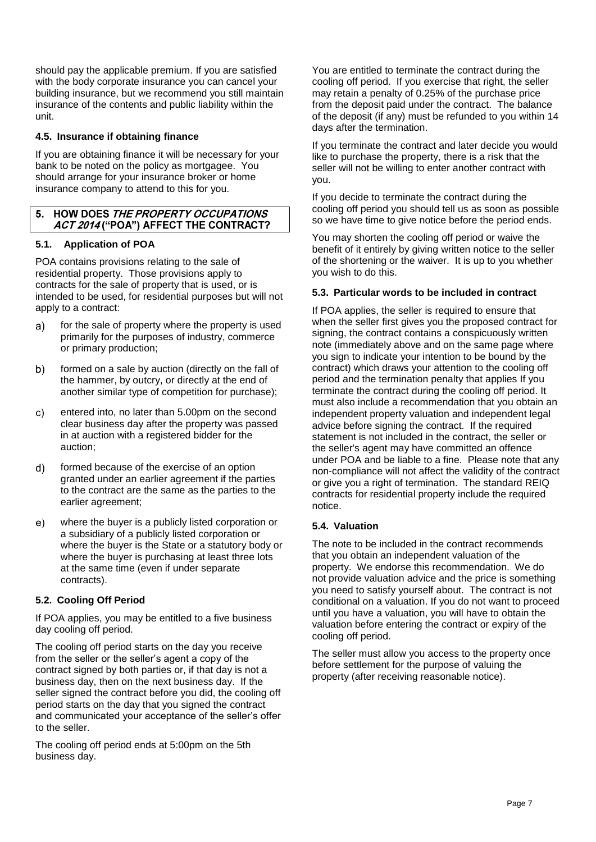should pay the applicable premium. If you are satisfied with the body corporate insurance you can cancel your building insurance, but we recommend you still maintain insurance of the contents and public liability within the unit.

### **4.5. Insurance if obtaining finance**

If you are obtaining finance it will be necessary for your bank to be noted on the policy as mortgagee. You should arrange for your insurance broker or home insurance company to attend to this for you.

### 5. HOW DOES THE PROPERTY OCCUPATIONS ACT 2014 ("POA") AFFECT THE CONTRACT?

### **5.1. Application of POA**

POA contains provisions relating to the sale of residential property. Those provisions apply to contracts for the sale of property that is used, or is intended to be used, for residential purposes but will not apply to a contract:

- for the sale of property where the property is used a) primarily for the purposes of industry, commerce or primary production;
- formed on a sale by auction (directly on the fall of  $b)$ the hammer, by outcry, or directly at the end of another similar type of competition for purchase);
- $\mathbf{C}$ entered into, no later than 5.00pm on the second clear business day after the property was passed in at auction with a registered bidder for the auction;
- formed because of the exercise of an option  $d)$ granted under an earlier agreement if the parties to the contract are the same as the parties to the earlier agreement;
- where the buyer is a publicly listed corporation or  $e)$ a subsidiary of a publicly listed corporation or where the buyer is the State or a statutory body or where the buyer is purchasing at least three lots at the same time (even if under separate contracts).

#### **5.2. Cooling Off Period**

If POA applies, you may be entitled to a five business day cooling off period.

The cooling off period starts on the day you receive from the seller or the seller's agent a copy of the contract signed by both parties or, if that day is not a business day, then on the next business day. If the seller signed the contract before you did, the cooling off period starts on the day that you signed the contract and communicated your acceptance of the seller's offer to the seller.

The cooling off period ends at 5:00pm on the 5th business day.

You are entitled to terminate the contract during the cooling off period. If you exercise that right, the seller may retain a penalty of 0.25% of the purchase price from the deposit paid under the contract. The balance of the deposit (if any) must be refunded to you within 14 days after the termination.

If you terminate the contract and later decide you would like to purchase the property, there is a risk that the seller will not be willing to enter another contract with you.

If you decide to terminate the contract during the cooling off period you should tell us as soon as possible so we have time to give notice before the period ends.

You may shorten the cooling off period or waive the benefit of it entirely by giving written notice to the seller of the shortening or the waiver. It is up to you whether you wish to do this.

# **5.3. Particular words to be included in contract**

If POA applies, the seller is required to ensure that when the seller first gives you the proposed contract for signing, the contract contains a conspicuously written note (immediately above and on the same page where you sign to indicate your intention to be bound by the contract) which draws your attention to the cooling off period and the termination penalty that applies If you terminate the contract during the cooling off period. It must also include a recommendation that you obtain an independent property valuation and independent legal advice before signing the contract. If the required statement is not included in the contract, the seller or the seller's agent may have committed an offence under POA and be liable to a fine. Please note that any non-compliance will not affect the validity of the contract or give you a right of termination. The standard REIQ contracts for residential property include the required notice.

#### **5.4. Valuation**

The note to be included in the contract recommends that you obtain an independent valuation of the property. We endorse this recommendation. We do not provide valuation advice and the price is something you need to satisfy yourself about. The contract is not conditional on a valuation. If you do not want to proceed until you have a valuation, you will have to obtain the valuation before entering the contract or expiry of the cooling off period.

The seller must allow you access to the property once before settlement for the purpose of valuing the property (after receiving reasonable notice).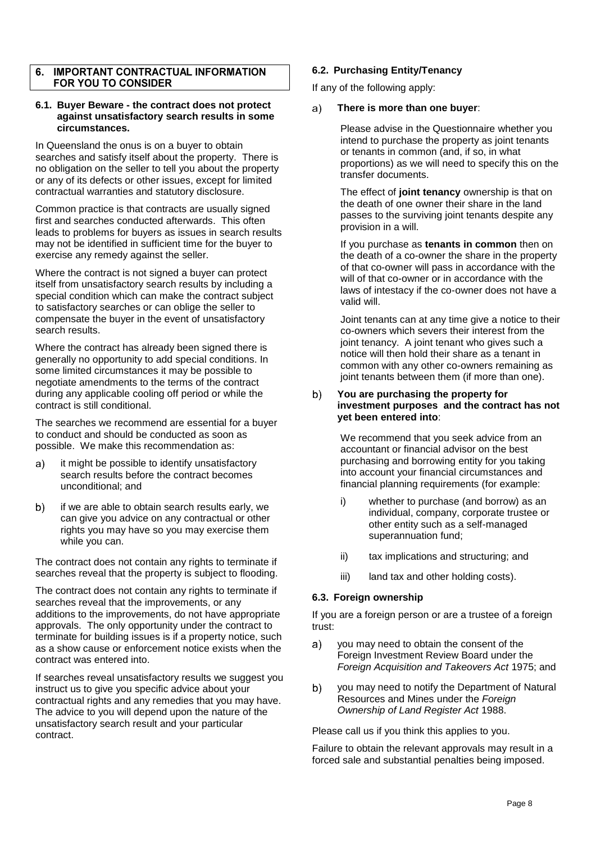#### **IMPORTANT CONTRACTUAL INFORMATION**  $\overline{6}$ FOR YOU TO CONSIDER

#### **6.1. Buyer Beware - the contract does not protect against unsatisfactory search results in some circumstances.**

In Queensland the onus is on a buyer to obtain searches and satisfy itself about the property. There is no obligation on the seller to tell you about the property or any of its defects or other issues, except for limited contractual warranties and statutory disclosure.

Common practice is that contracts are usually signed first and searches conducted afterwards. This often leads to problems for buyers as issues in search results may not be identified in sufficient time for the buyer to exercise any remedy against the seller.

Where the contract is not signed a buyer can protect itself from unsatisfactory search results by including a special condition which can make the contract subject to satisfactory searches or can oblige the seller to compensate the buyer in the event of unsatisfactory search results.

Where the contract has already been signed there is generally no opportunity to add special conditions. In some limited circumstances it may be possible to negotiate amendments to the terms of the contract during any applicable cooling off period or while the contract is still conditional.

The searches we recommend are essential for a buyer to conduct and should be conducted as soon as possible. We make this recommendation as:

- it might be possible to identify unsatisfactory  $\mathbf{a}$ search results before the contract becomes unconditional; and
- $b)$ if we are able to obtain search results early, we can give you advice on any contractual or other rights you may have so you may exercise them while you can.

The contract does not contain any rights to terminate if searches reveal that the property is subject to flooding.

The contract does not contain any rights to terminate if searches reveal that the improvements, or any additions to the improvements, do not have appropriate approvals. The only opportunity under the contract to terminate for building issues is if a property notice, such as a show cause or enforcement notice exists when the contract was entered into.

If searches reveal unsatisfactory results we suggest you instruct us to give you specific advice about your contractual rights and any remedies that you may have. The advice to you will depend upon the nature of the unsatisfactory search result and your particular contract.

### **6.2. Purchasing Entity/Tenancy**

If any of the following apply:

#### **There is more than one buyer**:  $a)$

Please advise in the Questionnaire whether you intend to purchase the property as joint tenants or tenants in common (and, if so, in what proportions) as we will need to specify this on the transfer documents.

The effect of **joint tenancy** ownership is that on the death of one owner their share in the land passes to the surviving joint tenants despite any provision in a will.

If you purchase as **tenants in common** then on the death of a co-owner the share in the property of that co-owner will pass in accordance with the will of that co-owner or in accordance with the laws of intestacy if the co-owner does not have a valid will.

Joint tenants can at any time give a notice to their co-owners which severs their interest from the joint tenancy. A joint tenant who gives such a notice will then hold their share as a tenant in common with any other co-owners remaining as joint tenants between them (if more than one).

#### b) **You are purchasing the property for investment purposes and the contract has not yet been entered into**:

We recommend that you seek advice from an accountant or financial advisor on the best purchasing and borrowing entity for you taking into account your financial circumstances and financial planning requirements (for example:

- i) whether to purchase (and borrow) as an individual, company, corporate trustee or other entity such as a self-managed superannuation fund;
- ii) tax implications and structuring; and
- iii) land tax and other holding costs).

#### **6.3. Foreign ownership**

If you are a foreign person or are a trustee of a foreign trust:

- you may need to obtain the consent of the a) Foreign Investment Review Board under the *Foreign Acquisition and Takeovers Act* 1975; and
- b) you may need to notify the Department of Natural Resources and Mines under the *Foreign Ownership of Land Register Act* 1988.

Please call us if you think this applies to you.

Failure to obtain the relevant approvals may result in a forced sale and substantial penalties being imposed.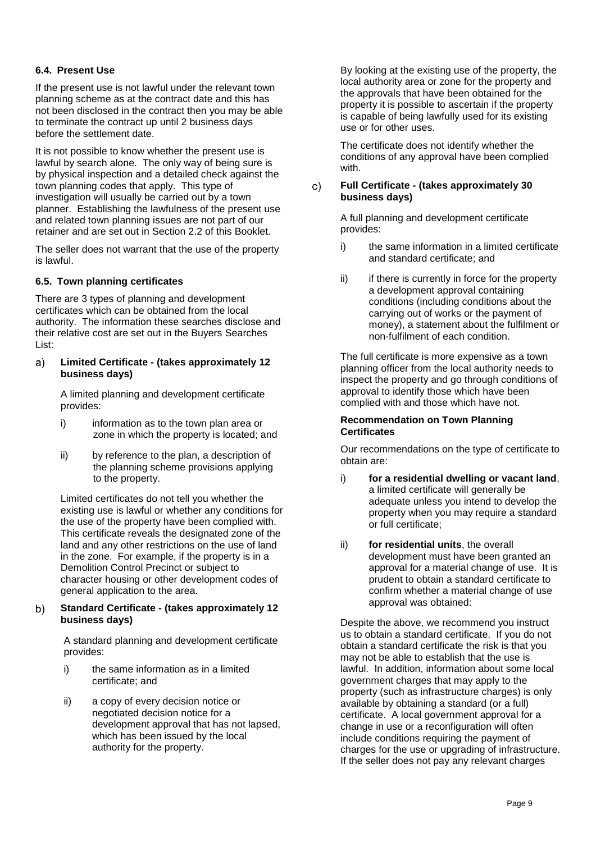### **6.4. Present Use**

If the present use is not lawful under the relevant town planning scheme as at the contract date and this has not been disclosed in the contract then you may be able to terminate the contract up until 2 business days before the settlement date.

It is not possible to know whether the present use is lawful by search alone. The only way of being sure is by physical inspection and a detailed check against the town planning codes that apply. This type of investigation will usually be carried out by a town planner. Establishing the lawfulness of the present use and related town planning issues are not part of our retainer and are set out in Section [2.2](#page-2-0) of this Booklet.

The seller does not warrant that the use of the property is lawful.

#### <span id="page-10-0"></span>**6.5. Town planning certificates**

There are 3 types of planning and development certificates which can be obtained from the local authority. The information these searches disclose and their relative cost are set out in the Buyers Searches List:

#### a) **Limited Certificate - (takes approximately 12 business days)**

A limited planning and development certificate provides:

- i) information as to the town plan area or zone in which the property is located; and
- ii) by reference to the plan, a description of the planning scheme provisions applying to the property.

Limited certificates do not tell you whether the existing use is lawful or whether any conditions for the use of the property have been complied with. This certificate reveals the designated zone of the land and any other restrictions on the use of land in the zone. For example, if the property is in a Demolition Control Precinct or subject to character housing or other development codes of general application to the area.

#### **Standard Certificate - (takes approximately 12**  $b)$ **business days)**

A standard planning and development certificate provides:

- i) the same information as in a limited certificate; and
- ii) a copy of every decision notice or negotiated decision notice for a development approval that has not lapsed, which has been issued by the local authority for the property.

By looking at the existing use of the property, the local authority area or zone for the property and the approvals that have been obtained for the property it is possible to ascertain if the property is capable of being lawfully used for its existing use or for other uses.

The certificate does not identify whether the conditions of any approval have been complied with.

#### **Full Certificate - (takes approximately 30**   $\mathsf{C}$ **business days)**

A full planning and development certificate provides:

- i) the same information in a limited certificate and standard certificate; and
- ii) if there is currently in force for the property a development approval containing conditions (including conditions about the carrying out of works or the payment of money), a statement about the fulfilment or non-fulfilment of each condition.

The full certificate is more expensive as a town planning officer from the local authority needs to inspect the property and go through conditions of approval to identify those which have been complied with and those which have not.

#### **Recommendation on Town Planning Certificates**

Our recommendations on the type of certificate to obtain are:

- i) **for a residential dwelling or vacant land**, a limited certificate will generally be adequate unless you intend to develop the property when you may require a standard or full certificate;
- ii) **for residential units**, the overall development must have been granted an approval for a material change of use. It is prudent to obtain a standard certificate to confirm whether a material change of use approval was obtained:

Despite the above, we recommend you instruct us to obtain a standard certificate. If you do not obtain a standard certificate the risk is that you may not be able to establish that the use is lawful. In addition, information about some local government charges that may apply to the property (such as infrastructure charges) is only available by obtaining a standard (or a full) certificate. A local government approval for a change in use or a reconfiguration will often include conditions requiring the payment of charges for the use or upgrading of infrastructure. If the seller does not pay any relevant charges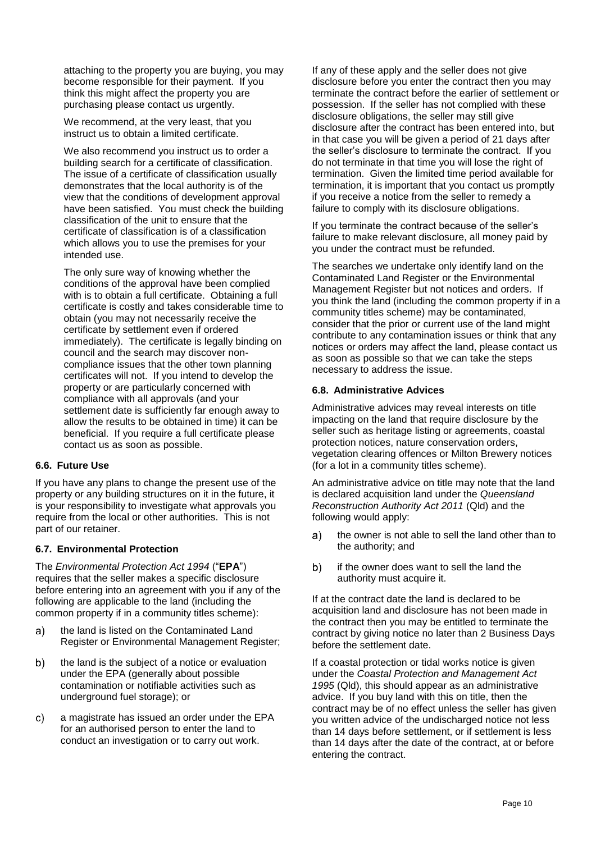attaching to the property you are buying, you may become responsible for their payment. If you think this might affect the property you are purchasing please contact us urgently.

We recommend, at the very least, that you instruct us to obtain a limited certificate.

We also recommend you instruct us to order a building search for a certificate of classification. The issue of a certificate of classification usually demonstrates that the local authority is of the view that the conditions of development approval have been satisfied. You must check the building classification of the unit to ensure that the certificate of classification is of a classification which allows you to use the premises for your intended use.

The only sure way of knowing whether the conditions of the approval have been complied with is to obtain a full certificate. Obtaining a full certificate is costly and takes considerable time to obtain (you may not necessarily receive the certificate by settlement even if ordered immediately). The certificate is legally binding on council and the search may discover noncompliance issues that the other town planning certificates will not. If you intend to develop the property or are particularly concerned with compliance with all approvals (and your settlement date is sufficiently far enough away to allow the results to be obtained in time) it can be beneficial. If you require a full certificate please contact us as soon as possible.

#### **6.6. Future Use**

If you have any plans to change the present use of the property or any building structures on it in the future, it is your responsibility to investigate what approvals you require from the local or other authorities. This is not part of our retainer.

#### **6.7. Environmental Protection**

The *Environmental Protection Act 1994* ("**EPA**") requires that the seller makes a specific disclosure before entering into an agreement with you if any of the following are applicable to the land (including the common property if in a community titles scheme):

- the land is listed on the Contaminated Land a) Register or Environmental Management Register;
- the land is the subject of a notice or evaluation  $b)$ under the EPA (generally about possible contamination or notifiable activities such as underground fuel storage); or
- C) a magistrate has issued an order under the EPA for an authorised person to enter the land to conduct an investigation or to carry out work.

If any of these apply and the seller does not give disclosure before you enter the contract then you may terminate the contract before the earlier of settlement or possession. If the seller has not complied with these disclosure obligations, the seller may still give disclosure after the contract has been entered into, but in that case you will be given a period of 21 days after the seller's disclosure to terminate the contract. If you do not terminate in that time you will lose the right of termination. Given the limited time period available for termination, it is important that you contact us promptly if you receive a notice from the seller to remedy a failure to comply with its disclosure obligations.

If you terminate the contract because of the seller's failure to make relevant disclosure, all money paid by you under the contract must be refunded.

The searches we undertake only identify land on the Contaminated Land Register or the Environmental Management Register but not notices and orders. If you think the land (including the common property if in a community titles scheme) may be contaminated, consider that the prior or current use of the land might contribute to any contamination issues or think that any notices or orders may affect the land, please contact us as soon as possible so that we can take the steps necessary to address the issue.

#### **6.8. Administrative Advices**

Administrative advices may reveal interests on title impacting on the land that require disclosure by the seller such as heritage listing or agreements, coastal protection notices, nature conservation orders, vegetation clearing offences or Milton Brewery notices (for a lot in a community titles scheme).

An administrative advice on title may note that the land is declared acquisition land under the *Queensland Reconstruction Authority Act 2011* (Qld) and the following would apply:

- the owner is not able to sell the land other than to a) the authority; and
- b) if the owner does want to sell the land the authority must acquire it.

If at the contract date the land is declared to be acquisition land and disclosure has not been made in the contract then you may be entitled to terminate the contract by giving notice no later than 2 Business Days before the settlement date.

If a coastal protection or tidal works notice is given under the *Coastal Protection and Management Act 1995* (Qld), this should appear as an administrative advice. If you buy land with this on title, then the contract may be of no effect unless the seller has given you written advice of the undischarged notice not less than 14 days before settlement, or if settlement is less than 14 days after the date of the contract, at or before entering the contract.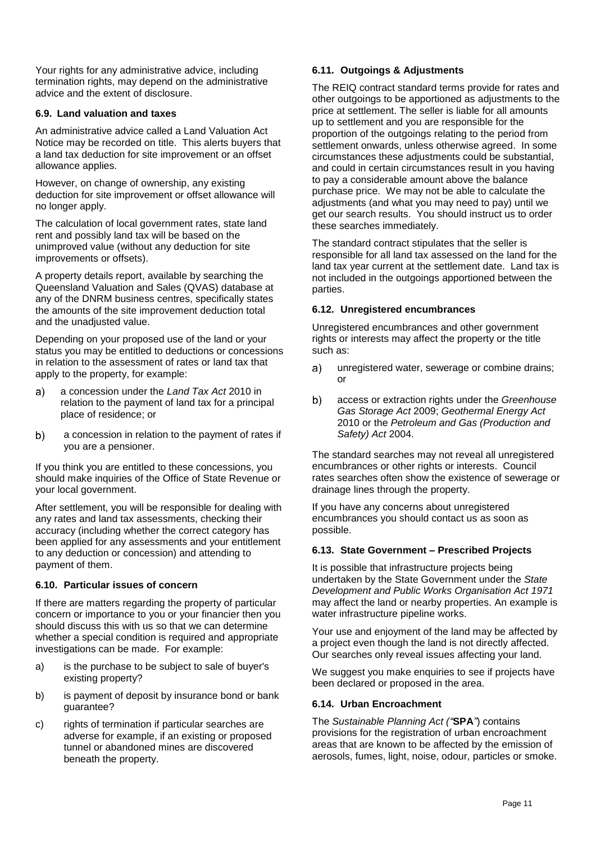Your rights for any administrative advice, including termination rights, may depend on the administrative advice and the extent of disclosure.

#### **6.9. Land valuation and taxes**

An administrative advice called a Land Valuation Act Notice may be recorded on title. This alerts buyers that a land tax deduction for site improvement or an offset allowance applies.

However, on change of ownership, any existing deduction for site improvement or offset allowance will no longer apply.

The calculation of local government rates, state land rent and possibly land tax will be based on the unimproved value (without any deduction for site improvements or offsets).

A property details report, available by searching the Queensland Valuation and Sales (QVAS) database at any of the DNRM business centres, specifically states the amounts of the site improvement deduction total and the unadjusted value.

Depending on your proposed use of the land or your status you may be entitled to deductions or concessions in relation to the assessment of rates or land tax that apply to the property, for example:

- a concession under the *Land Tax Act* 2010 in a) relation to the payment of land tax for a principal place of residence; or
- $b)$ a concession in relation to the payment of rates if you are a pensioner.

If you think you are entitled to these concessions, you should make inquiries of the Office of State Revenue or your local government.

After settlement, you will be responsible for dealing with any rates and land tax assessments, checking their accuracy (including whether the correct category has been applied for any assessments and your entitlement to any deduction or concession) and attending to payment of them.

#### **6.10. Particular issues of concern**

If there are matters regarding the property of particular concern or importance to you or your financier then you should discuss this with us so that we can determine whether a special condition is required and appropriate investigations can be made. For example:

- a) is the purchase to be subject to sale of buyer's existing property?
- b) is payment of deposit by insurance bond or bank guarantee?
- c) rights of termination if particular searches are adverse for example, if an existing or proposed tunnel or abandoned mines are discovered beneath the property.

#### **6.11. Outgoings & Adjustments**

The REIQ contract standard terms provide for rates and other outgoings to be apportioned as adjustments to the price at settlement. The seller is liable for all amounts up to settlement and you are responsible for the proportion of the outgoings relating to the period from settlement onwards, unless otherwise agreed. In some circumstances these adjustments could be substantial, and could in certain circumstances result in you having to pay a considerable amount above the balance purchase price. We may not be able to calculate the adjustments (and what you may need to pay) until we get our search results. You should instruct us to order these searches immediately.

The standard contract stipulates that the seller is responsible for all land tax assessed on the land for the land tax year current at the settlement date. Land tax is not included in the outgoings apportioned between the parties.

#### **6.12. Unregistered encumbrances**

Unregistered encumbrances and other government rights or interests may affect the property or the title such as:

- $a)$ unregistered water, sewerage or combine drains; or
- $b)$ access or extraction rights under the *Greenhouse Gas Storage Act* 2009; *Geothermal Energy Act* 2010 or the *Petroleum and Gas (Production and Safety) Act* 2004.

The standard searches may not reveal all unregistered encumbrances or other rights or interests. Council rates searches often show the existence of sewerage or drainage lines through the property.

If you have any concerns about unregistered encumbrances you should contact us as soon as possible.

#### **6.13. State Government – Prescribed Projects**

It is possible that infrastructure projects being undertaken by the State Government under the *State Development and Public Works Organisation Act 1971* may affect the land or nearby properties. An example is water infrastructure pipeline works.

Your use and enjoyment of the land may be affected by a project even though the land is not directly affected. Our searches only reveal issues affecting your land.

We suggest you make enquiries to see if projects have been declared or proposed in the area.

#### **6.14. Urban Encroachment**

The *Sustainable Planning Act ("***SPA***"*) contains provisions for the registration of urban encroachment areas that are known to be affected by the emission of aerosols, fumes, light, noise, odour, particles or smoke.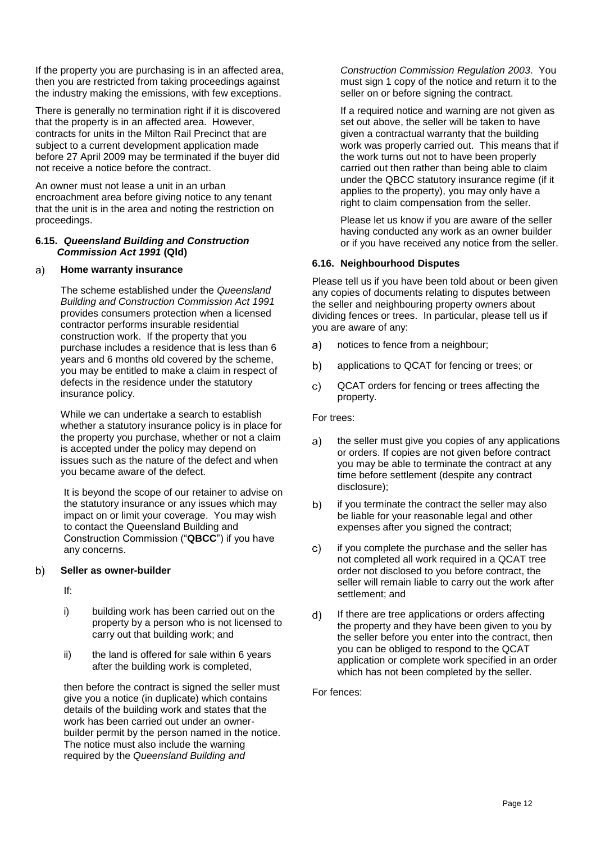If the property you are purchasing is in an affected area, then you are restricted from taking proceedings against the industry making the emissions, with few exceptions.

There is generally no termination right if it is discovered that the property is in an affected area. However, contracts for units in the Milton Rail Precinct that are subject to a current development application made before 27 April 2009 may be terminated if the buyer did not receive a notice before the contract.

An owner must not lease a unit in an urban encroachment area before giving notice to any tenant that the unit is in the area and noting the restriction on proceedings.

#### **6.15.** *Queensland Building and Construction Commission Act 1991* **(Qld)**

#### **Home warranty insurance** a)

The scheme established under the *Queensland Building and Construction Commission Act 1991* provides consumers protection when a licensed contractor performs insurable residential construction work. If the property that you purchase includes a residence that is less than 6 years and 6 months old covered by the scheme, you may be entitled to make a claim in respect of defects in the residence under the statutory insurance policy.

While we can undertake a search to establish whether a statutory insurance policy is in place for the property you purchase, whether or not a claim is accepted under the policy may depend on issues such as the nature of the defect and when you became aware of the defect.

It is beyond the scope of our retainer to advise on the statutory insurance or any issues which may impact on or limit your coverage. You may wish to contact the Queensland Building and Construction Commission ("**QBCC**") if you have any concerns.

#### **Seller as owner-builder**  $b)$

If:

- i) building work has been carried out on the property by a person who is not licensed to carry out that building work; and
- ii) the land is offered for sale within 6 years after the building work is completed,

then before the contract is signed the seller must give you a notice (in duplicate) which contains details of the building work and states that the work has been carried out under an ownerbuilder permit by the person named in the notice. The notice must also include the warning required by the *Queensland Building and* 

*Construction Commission Regulation 2003*. You must sign 1 copy of the notice and return it to the seller on or before signing the contract.

If a required notice and warning are not given as set out above, the seller will be taken to have given a contractual warranty that the building work was properly carried out. This means that if the work turns out not to have been properly carried out then rather than being able to claim under the QBCC statutory insurance regime (if it applies to the property), you may only have a right to claim compensation from the seller.

Please let us know if you are aware of the seller having conducted any work as an owner builder or if you have received any notice from the seller.

#### **6.16. Neighbourhood Disputes**

Please tell us if you have been told about or been given any copies of documents relating to disputes between the seller and neighbouring property owners about dividing fences or trees. In particular, please tell us if you are aware of any:

- $a)$ notices to fence from a neighbour;
- $b)$ applications to QCAT for fencing or trees; or
- C) QCAT orders for fencing or trees affecting the property.

For trees:

- a) the seller must give you copies of any applications or orders. If copies are not given before contract you may be able to terminate the contract at any time before settlement (despite any contract disclosure);
- if you terminate the contract the seller may also b) be liable for your reasonable legal and other expenses after you signed the contract;
- if you complete the purchase and the seller has C) not completed all work required in a QCAT tree order not disclosed to you before contract, the seller will remain liable to carry out the work after settlement; and
- $\mathsf{d}$ If there are tree applications or orders affecting the property and they have been given to you by the seller before you enter into the contract, then you can be obliged to respond to the QCAT application or complete work specified in an order which has not been completed by the seller.

For fences: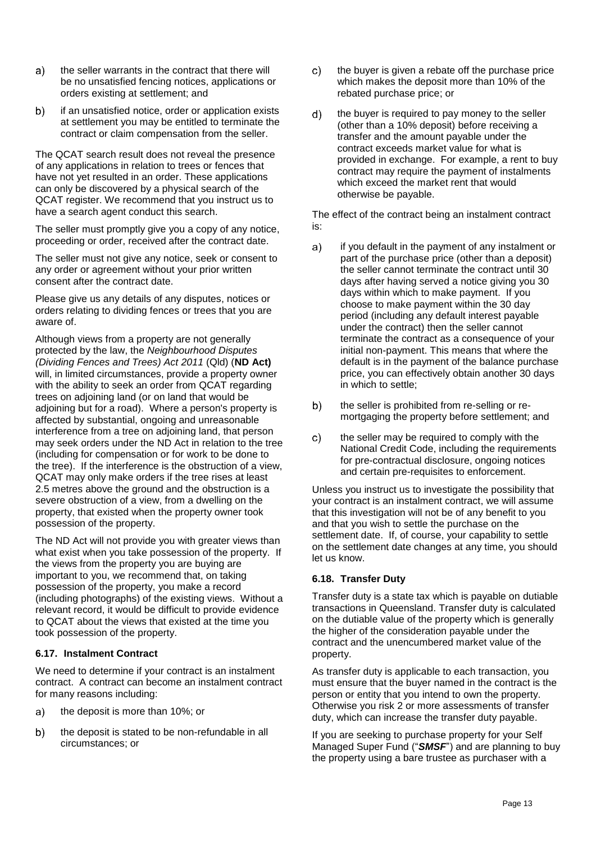- $a)$ the seller warrants in the contract that there will be no unsatisfied fencing notices, applications or orders existing at settlement; and
- if an unsatisfied notice, order or application exists  $b)$ at settlement you may be entitled to terminate the contract or claim compensation from the seller.

The QCAT search result does not reveal the presence of any applications in relation to trees or fences that have not yet resulted in an order. These applications can only be discovered by a physical search of the QCAT register. We recommend that you instruct us to have a search agent conduct this search.

The seller must promptly give you a copy of any notice, proceeding or order, received after the contract date.

The seller must not give any notice, seek or consent to any order or agreement without your prior written consent after the contract date.

Please give us any details of any disputes, notices or orders relating to dividing fences or trees that you are aware of.

Although views from a property are not generally protected by the law, the *Neighbourhood Disputes (Dividing Fences and Trees) Act 2011* (Qld) (**ND Act)** will, in limited circumstances, provide a property owner with the ability to seek an order from QCAT regarding trees on adjoining land (or on land that would be adjoining but for a road). Where a person's property is affected by substantial, ongoing and unreasonable interference from a tree on adjoining land, that person may seek orders under the ND Act in relation to the tree (including for compensation or for work to be done to the tree). If the interference is the obstruction of a view, QCAT may only make orders if the tree rises at least 2.5 metres above the ground and the obstruction is a severe obstruction of a view, from a dwelling on the property, that existed when the property owner took possession of the property.

The ND Act will not provide you with greater views than what exist when you take possession of the property. If the views from the property you are buying are important to you, we recommend that, on taking possession of the property, you make a record (including photographs) of the existing views. Without a relevant record, it would be difficult to provide evidence to QCAT about the views that existed at the time you took possession of the property.

#### **6.17. Instalment Contract**

We need to determine if your contract is an instalment contract. A contract can become an instalment contract for many reasons including:

- a) the deposit is more than 10%; or
- $b)$ the deposit is stated to be non-refundable in all circumstances; or
- $c)$ the buyer is given a rebate off the purchase price which makes the deposit more than 10% of the rebated purchase price; or
- $d)$ the buyer is required to pay money to the seller (other than a 10% deposit) before receiving a transfer and the amount payable under the contract exceeds market value for what is provided in exchange. For example, a rent to buy contract may require the payment of instalments which exceed the market rent that would otherwise be payable.

The effect of the contract being an instalment contract is:

- $a)$ if you default in the payment of any instalment or part of the purchase price (other than a deposit) the seller cannot terminate the contract until 30 days after having served a notice giving you 30 days within which to make payment. If you choose to make payment within the 30 day period (including any default interest payable under the contract) then the seller cannot terminate the contract as a consequence of your initial non-payment. This means that where the default is in the payment of the balance purchase price, you can effectively obtain another 30 days in which to settle;
- the seller is prohibited from re-selling or reb) mortgaging the property before settlement; and
- the seller may be required to comply with the  $\mathbf{C}$ National Credit Code, including the requirements for pre-contractual disclosure, ongoing notices and certain pre-requisites to enforcement.

Unless you instruct us to investigate the possibility that your contract is an instalment contract, we will assume that this investigation will not be of any benefit to you and that you wish to settle the purchase on the settlement date. If, of course, your capability to settle on the settlement date changes at any time, you should let us know.

#### **6.18. Transfer Duty**

Transfer duty is a state tax which is payable on dutiable transactions in Queensland. Transfer duty is calculated on the dutiable value of the property which is generally the higher of the consideration payable under the contract and the unencumbered market value of the property.

As transfer duty is applicable to each transaction, you must ensure that the buyer named in the contract is the person or entity that you intend to own the property. Otherwise you risk 2 or more assessments of transfer duty, which can increase the transfer duty payable.

If you are seeking to purchase property for your Self Managed Super Fund ("*SMSF*") and are planning to buy the property using a bare trustee as purchaser with a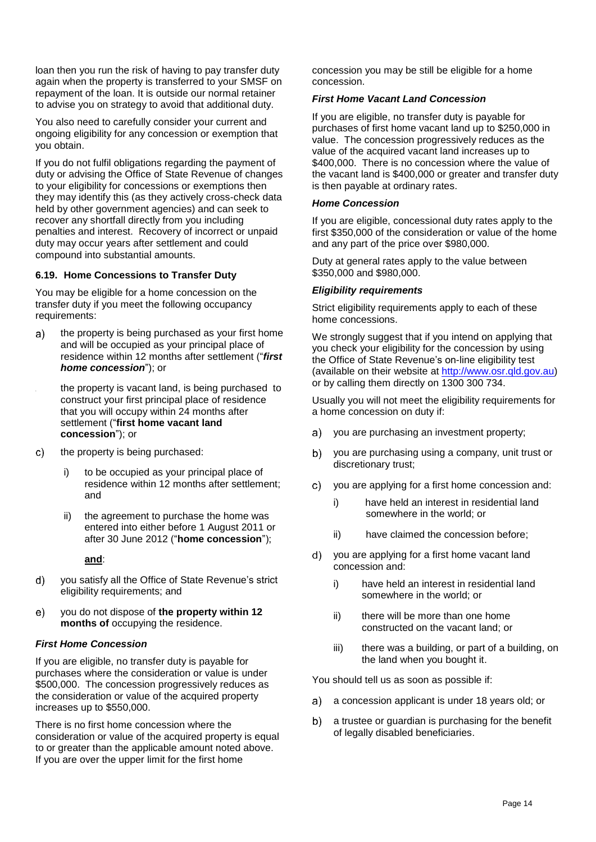loan then you run the risk of having to pay transfer duty again when the property is transferred to your SMSF on repayment of the loan. It is outside our normal retainer to advise you on strategy to avoid that additional duty.

You also need to carefully consider your current and ongoing eligibility for any concession or exemption that you obtain.

If you do not fulfil obligations regarding the payment of duty or advising the Office of State Revenue of changes to your eligibility for concessions or exemptions then they may identify this (as they actively cross-check data held by other government agencies) and can seek to recover any shortfall directly from you including penalties and interest. Recovery of incorrect or unpaid duty may occur years after settlement and could compound into substantial amounts.

### **6.19. Home Concessions to Transfer Duty**

You may be eligible for a home concession on the transfer duty if you meet the following occupancy requirements:

the property is being purchased as your first home  $a)$ and will be occupied as your principal place of residence within 12 months after settlement ("*first home concession*"); or

the property is vacant land, is being purchased to construct your first principal place of residence that you will occupy within 24 months after settlement ("**first home vacant land concession**"); or

- $\mathsf{c}$ the property is being purchased:
	- i) to be occupied as your principal place of residence within 12 months after settlement; and
	- ii) the agreement to purchase the home was entered into either before 1 August 2011 or after 30 June 2012 ("**home concession**");

**and**:

- d) you satisfy all the Office of State Revenue's strict eligibility requirements; and
- you do not dispose of **the property within 12**   $e)$ **months of** occupying the residence.

# *First Home Concession*

If you are eligible, no transfer duty is payable for purchases where the consideration or value is under \$500,000. The concession progressively reduces as the consideration or value of the acquired property increases up to \$550,000.

There is no first home concession where the consideration or value of the acquired property is equal to or greater than the applicable amount noted above. If you are over the upper limit for the first home

concession you may be still be eligible for a home concession.

# *First Home Vacant Land Concession*

If you are eligible, no transfer duty is payable for purchases of first home vacant land up to \$250,000 in value. The concession progressively reduces as the value of the acquired vacant land increases up to \$400,000. There is no concession where the value of the vacant land is \$400,000 or greater and transfer duty is then payable at ordinary rates.

# *Home Concession*

If you are eligible, concessional duty rates apply to the first \$350,000 of the consideration or value of the home and any part of the price over \$980,000.

Duty at general rates apply to the value between \$350,000 and \$980,000.

# *Eligibility requirements*

Strict eligibility requirements apply to each of these home concessions.

We strongly suggest that if you intend on applying that you check your eligibility for the concession by using the Office of State Revenue's on-line eligibility test (available on their website at [http://www.osr.qld.gov.au\)](http://www.osr.qld.gov.au/) or by calling them directly on 1300 300 734.

Usually you will not meet the eligibility requirements for a home concession on duty if:

- you are purchasing an investment property;  $a)$
- $b)$ you are purchasing using a company, unit trust or discretionary trust;
- $\mathbf{C}$ you are applying for a first home concession and:
	- i) have held an interest in residential land somewhere in the world; or
	- ii) have claimed the concession before;
- d) you are applying for a first home vacant land concession and:
	- i) have held an interest in residential land somewhere in the world; or
	- ii) there will be more than one home constructed on the vacant land; or
	- iii) there was a building, or part of a building, on the land when you bought it.

You should tell us as soon as possible if:

- a concession applicant is under 18 years old; or a)
- a trustee or guardian is purchasing for the benefit  $b)$ of legally disabled beneficiaries.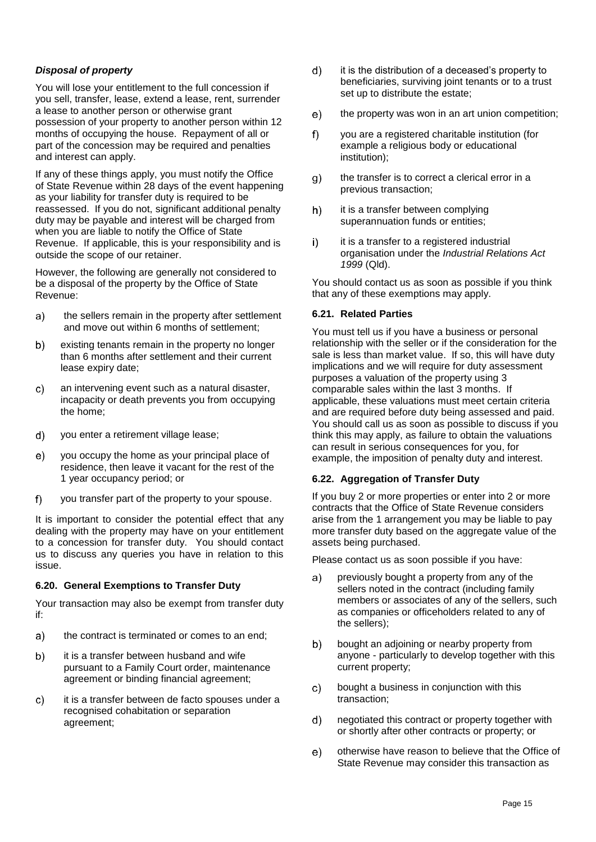### *Disposal of property*

You will lose your entitlement to the full concession if you sell, transfer, lease, extend a lease, rent, surrender a lease to another person or otherwise grant possession of your property to another person within 12 months of occupying the house. Repayment of all or part of the concession may be required and penalties and interest can apply.

If any of these things apply, you must notify the Office of State Revenue within 28 days of the event happening as your liability for transfer duty is required to be reassessed. If you do not, significant additional penalty duty may be payable and interest will be charged from when you are liable to notify the Office of State Revenue. If applicable, this is your responsibility and is outside the scope of our retainer.

However, the following are generally not considered to be a disposal of the property by the Office of State Revenue:

- $a)$ the sellers remain in the property after settlement and move out within 6 months of settlement;
- $b)$ existing tenants remain in the property no longer than 6 months after settlement and their current lease expiry date;
- $\mathbf{C}$ an intervening event such as a natural disaster, incapacity or death prevents you from occupying the home;
- $d)$ you enter a retirement village lease;
- you occupy the home as your principal place of  $e)$ residence, then leave it vacant for the rest of the 1 year occupancy period; or
- $f$ you transfer part of the property to your spouse.

It is important to consider the potential effect that any dealing with the property may have on your entitlement to a concession for transfer duty. You should contact us to discuss any queries you have in relation to this issue.

#### **6.20. General Exemptions to Transfer Duty**

Your transaction may also be exempt from transfer duty if:

- the contract is terminated or comes to an end; a)
- it is a transfer between husband and wife b) pursuant to a Family Court order, maintenance agreement or binding financial agreement;
- it is a transfer between de facto spouses under a C) recognised cohabitation or separation agreement;
- $d)$ it is the distribution of a deceased's property to beneficiaries, surviving joint tenants or to a trust set up to distribute the estate;
- the property was won in an art union competition;  $e)$
- $f$ you are a registered charitable institution (for example a religious body or educational institution);
- the transfer is to correct a clerical error in a  $g)$ previous transaction;
- $h)$ it is a transfer between complying superannuation funds or entities;
- it is a transfer to a registered industrial i) organisation under the *Industrial Relations Act 1999* (Qld).

You should contact us as soon as possible if you think that any of these exemptions may apply.

#### **6.21. Related Parties**

You must tell us if you have a business or personal relationship with the seller or if the consideration for the sale is less than market value. If so, this will have duty implications and we will require for duty assessment purposes a valuation of the property using 3 comparable sales within the last 3 months. If applicable, these valuations must meet certain criteria and are required before duty being assessed and paid. You should call us as soon as possible to discuss if you think this may apply, as failure to obtain the valuations can result in serious consequences for you, for example, the imposition of penalty duty and interest.

#### **6.22. Aggregation of Transfer Duty**

If you buy 2 or more properties or enter into 2 or more contracts that the Office of State Revenue considers arise from the 1 arrangement you may be liable to pay more transfer duty based on the aggregate value of the assets being purchased.

Please contact us as soon possible if you have:

- a) previously bought a property from any of the sellers noted in the contract (including family members or associates of any of the sellers, such as companies or officeholders related to any of the sellers);
- bought an adjoining or nearby property from b) anyone - particularly to develop together with this current property;
- C) bought a business in conjunction with this transaction;
- negotiated this contract or property together with  $\mathsf{d}$ or shortly after other contracts or property; or
- $e)$ otherwise have reason to believe that the Office of State Revenue may consider this transaction as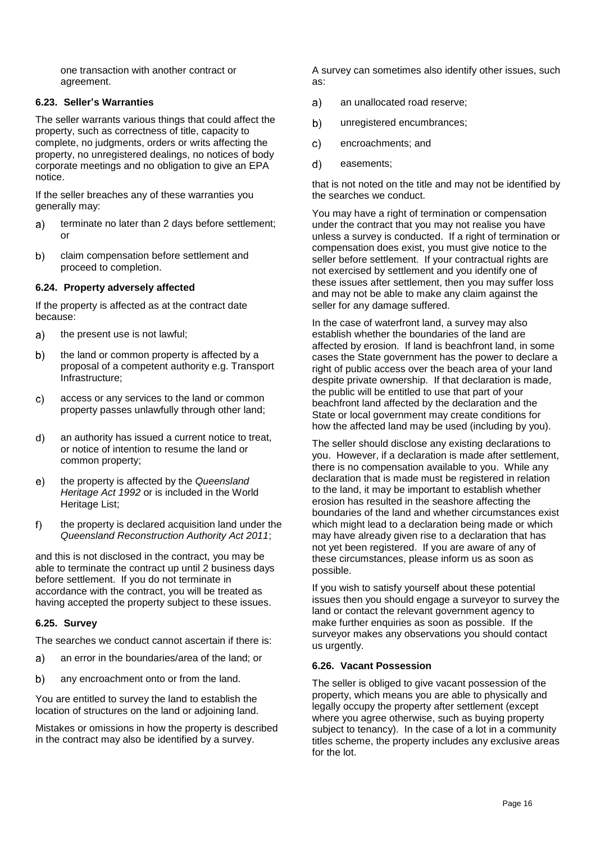one transaction with another contract or agreement.

### **6.23. Seller's Warranties**

The seller warrants various things that could affect the property, such as correctness of title, capacity to complete, no judgments, orders or writs affecting the property, no unregistered dealings, no notices of body corporate meetings and no obligation to give an EPA notice.

If the seller breaches any of these warranties you generally may:

- $a)$ terminate no later than 2 days before settlement; or
- $b)$ claim compensation before settlement and proceed to completion.

#### **6.24. Property adversely affected**

If the property is affected as at the contract date because:

- the present use is not lawful;  $a)$
- $b)$ the land or common property is affected by a proposal of a competent authority e.g. Transport Infrastructure;
- access or any services to the land or common  $\mathsf{c}$ property passes unlawfully through other land;
- d) an authority has issued a current notice to treat, or notice of intention to resume the land or common property;
- the property is affected by the *Queensland*  e) *Heritage Act 1992* or is included in the World Heritage List;
- the property is declared acquisition land under the f) *Queensland Reconstruction Authority Act 2011*;

and this is not disclosed in the contract, you may be able to terminate the contract up until 2 business days before settlement. If you do not terminate in accordance with the contract, you will be treated as having accepted the property subject to these issues.

#### **6.25. Survey**

The searches we conduct cannot ascertain if there is:

- an error in the boundaries/area of the land; or a)
- $b)$ any encroachment onto or from the land.

You are entitled to survey the land to establish the location of structures on the land or adjoining land.

Mistakes or omissions in how the property is described in the contract may also be identified by a survey.

A survey can sometimes also identify other issues, such as:

- $a)$ an unallocated road reserve;
- unregistered encumbrances; b)
- $\mathbf{C}$ encroachments; and
- $d)$ easements;

that is not noted on the title and may not be identified by the searches we conduct.

You may have a right of termination or compensation under the contract that you may not realise you have unless a survey is conducted. If a right of termination or compensation does exist, you must give notice to the seller before settlement. If your contractual rights are not exercised by settlement and you identify one of these issues after settlement, then you may suffer loss and may not be able to make any claim against the seller for any damage suffered.

In the case of waterfront land, a survey may also establish whether the boundaries of the land are affected by erosion. If land is beachfront land, in some cases the State government has the power to declare a right of public access over the beach area of your land despite private ownership. If that declaration is made, the public will be entitled to use that part of your beachfront land affected by the declaration and the State or local government may create conditions for how the affected land may be used (including by you).

The seller should disclose any existing declarations to you. However, if a declaration is made after settlement, there is no compensation available to you. While any declaration that is made must be registered in relation to the land, it may be important to establish whether erosion has resulted in the seashore affecting the boundaries of the land and whether circumstances exist which might lead to a declaration being made or which may have already given rise to a declaration that has not yet been registered. If you are aware of any of these circumstances, please inform us as soon as possible.

If you wish to satisfy yourself about these potential issues then you should engage a surveyor to survey the land or contact the relevant government agency to make further enquiries as soon as possible. If the surveyor makes any observations you should contact us urgently.

#### **6.26. Vacant Possession**

The seller is obliged to give vacant possession of the property, which means you are able to physically and legally occupy the property after settlement (except where you agree otherwise, such as buying property subject to tenancy). In the case of a lot in a community titles scheme, the property includes any exclusive areas for the lot.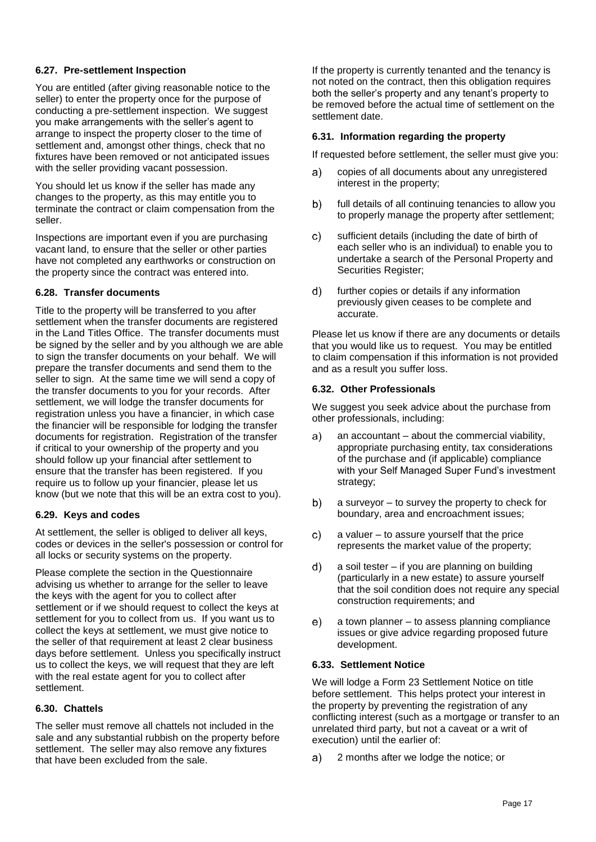#### **6.27. Pre-settlement Inspection**

You are entitled (after giving reasonable notice to the seller) to enter the property once for the purpose of conducting a pre-settlement inspection. We suggest you make arrangements with the seller's agent to arrange to inspect the property closer to the time of settlement and, amongst other things, check that no fixtures have been removed or not anticipated issues with the seller providing vacant possession.

You should let us know if the seller has made any changes to the property, as this may entitle you to terminate the contract or claim compensation from the seller.

Inspections are important even if you are purchasing vacant land, to ensure that the seller or other parties have not completed any earthworks or construction on the property since the contract was entered into.

#### **6.28. Transfer documents**

Title to the property will be transferred to you after settlement when the transfer documents are registered in the Land Titles Office. The transfer documents must be signed by the seller and by you although we are able to sign the transfer documents on your behalf. We will prepare the transfer documents and send them to the seller to sign. At the same time we will send a copy of the transfer documents to you for your records. After settlement, we will lodge the transfer documents for registration unless you have a financier, in which case the financier will be responsible for lodging the transfer documents for registration. Registration of the transfer if critical to your ownership of the property and you should follow up your financial after settlement to ensure that the transfer has been registered. If you require us to follow up your financier, please let us know (but we note that this will be an extra cost to you).

#### **6.29. Keys and codes**

At settlement, the seller is obliged to deliver all keys, codes or devices in the seller's possession or control for all locks or security systems on the property.

Please complete the section in the Questionnaire advising us whether to arrange for the seller to leave the keys with the agent for you to collect after settlement or if we should request to collect the keys at settlement for you to collect from us. If you want us to collect the keys at settlement, we must give notice to the seller of that requirement at least 2 clear business days before settlement. Unless you specifically instruct us to collect the keys, we will request that they are left with the real estate agent for you to collect after settlement.

### **6.30. Chattels**

The seller must remove all chattels not included in the sale and any substantial rubbish on the property before settlement. The seller may also remove any fixtures that have been excluded from the sale.

If the property is currently tenanted and the tenancy is not noted on the contract, then this obligation requires both the seller's property and any tenant's property to be removed before the actual time of settlement on the settlement date.

#### **6.31. Information regarding the property**

If requested before settlement, the seller must give you:

- copies of all documents about any unregistered a) interest in the property;
- full details of all continuing tenancies to allow you b) to properly manage the property after settlement;
- sufficient details (including the date of birth of  $\mathsf{C}$ each seller who is an individual) to enable you to undertake a search of the Personal Property and Securities Register;
- further copies or details if any information  $\mathsf{d}$ previously given ceases to be complete and accurate.

Please let us know if there are any documents or details that you would like us to request. You may be entitled to claim compensation if this information is not provided and as a result you suffer loss.

#### **6.32. Other Professionals**

We suggest you seek advice about the purchase from other professionals, including:

- an accountant about the commercial viability,  $a)$ appropriate purchasing entity, tax considerations of the purchase and (if applicable) compliance with your Self Managed Super Fund's investment strategy;
- $b)$ a surveyor – to survey the property to check for boundary, area and encroachment issues;
- a valuer to assure yourself that the price C) represents the market value of the property;
- $\mathbf{d}$ a soil tester – if you are planning on building (particularly in a new estate) to assure yourself that the soil condition does not require any special construction requirements; and
- a town planner to assess planning compliance e) issues or give advice regarding proposed future development.

#### **6.33. Settlement Notice**

We will lodge a Form 23 Settlement Notice on title before settlement. This helps protect your interest in the property by preventing the registration of any conflicting interest (such as a mortgage or transfer to an unrelated third party, but not a caveat or a writ of execution) until the earlier of:

2 months after we lodge the notice; ora)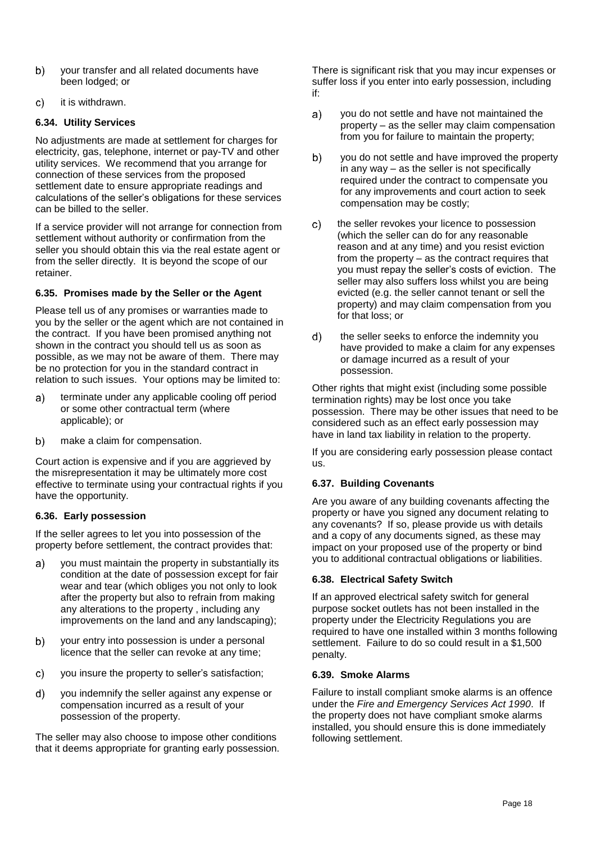- $b)$ your transfer and all related documents have been lodged; or
- $\mathsf{c}$ it is withdrawn.

### **6.34. Utility Services**

No adjustments are made at settlement for charges for electricity, gas, telephone, internet or pay-TV and other utility services. We recommend that you arrange for connection of these services from the proposed settlement date to ensure appropriate readings and calculations of the seller's obligations for these services can be billed to the seller.

If a service provider will not arrange for connection from settlement without authority or confirmation from the seller you should obtain this via the real estate agent or from the seller directly. It is beyond the scope of our retainer.

### **6.35. Promises made by the Seller or the Agent**

Please tell us of any promises or warranties made to you by the seller or the agent which are not contained in the contract. If you have been promised anything not shown in the contract you should tell us as soon as possible, as we may not be aware of them. There may be no protection for you in the standard contract in relation to such issues. Your options may be limited to:

- a) terminate under any applicable cooling off period or some other contractual term (where applicable); or
- $\mathsf{b}$ make a claim for compensation.

Court action is expensive and if you are aggrieved by the misrepresentation it may be ultimately more cost effective to terminate using your contractual rights if you have the opportunity.

# **6.36. Early possession**

If the seller agrees to let you into possession of the property before settlement, the contract provides that:

- you must maintain the property in substantially its a) condition at the date of possession except for fair wear and tear (which obliges you not only to look after the property but also to refrain from making any alterations to the property , including any improvements on the land and any landscaping);
- $b)$ your entry into possession is under a personal licence that the seller can revoke at any time;
- $\mathbf{c}$ you insure the property to seller's satisfaction;
- d) you indemnify the seller against any expense or compensation incurred as a result of your possession of the property.

The seller may also choose to impose other conditions that it deems appropriate for granting early possession. There is significant risk that you may incur expenses or suffer loss if you enter into early possession, including if:

- you do not settle and have not maintained the  $a)$ property – as the seller may claim compensation from you for failure to maintain the property;
- $b)$ you do not settle and have improved the property in any way – as the seller is not specifically required under the contract to compensate you for any improvements and court action to seek compensation may be costly;
- $\mathsf{C}$ the seller revokes your licence to possession (which the seller can do for any reasonable reason and at any time) and you resist eviction from the property – as the contract requires that you must repay the seller's costs of eviction. The seller may also suffers loss whilst you are being evicted (e.g. the seller cannot tenant or sell the property) and may claim compensation from you for that loss; or
- $d)$ the seller seeks to enforce the indemnity you have provided to make a claim for any expenses or damage incurred as a result of your possession.

Other rights that might exist (including some possible termination rights) may be lost once you take possession. There may be other issues that need to be considered such as an effect early possession may have in land tax liability in relation to the property.

If you are considering early possession please contact us.

# **6.37. Building Covenants**

Are you aware of any building covenants affecting the property or have you signed any document relating to any covenants? If so, please provide us with details and a copy of any documents signed, as these may impact on your proposed use of the property or bind you to additional contractual obligations or liabilities.

# **6.38. Electrical Safety Switch**

If an approved electrical safety switch for general purpose socket outlets has not been installed in the property under the Electricity Regulations you are required to have one installed within 3 months following settlement. Failure to do so could result in a \$1,500 penalty.

#### **6.39. Smoke Alarms**

Failure to install compliant smoke alarms is an offence under the *Fire and Emergency Services Act 1990*. If the property does not have compliant smoke alarms installed, you should ensure this is done immediately following settlement.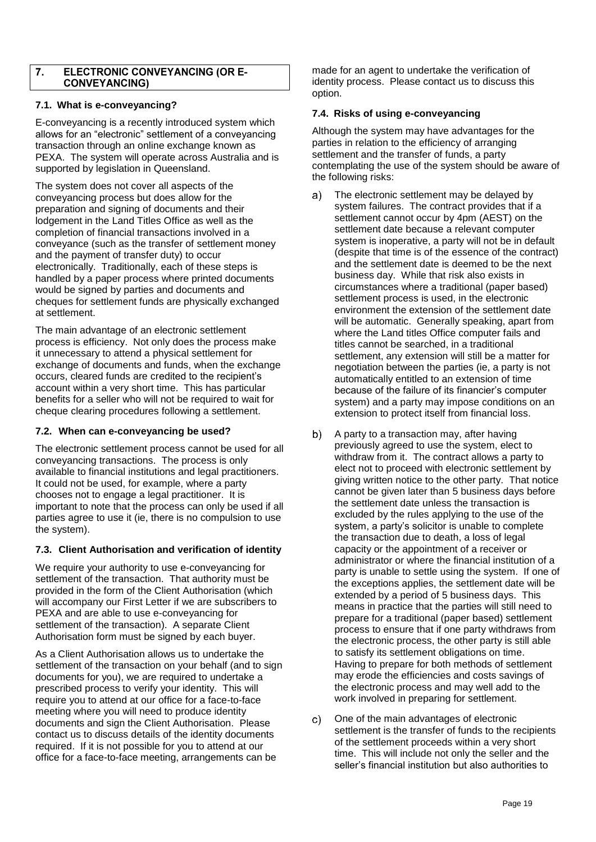#### $\overline{7}$ . **ELECTRONIC CONVEYANCING (OR E-CONVEYANCING)**

### **7.1. What is e-conveyancing?**

E-conveyancing is a recently introduced system which allows for an "electronic" settlement of a conveyancing transaction through an online exchange known as PEXA. The system will operate across Australia and is supported by legislation in Queensland.

The system does not cover all aspects of the conveyancing process but does allow for the preparation and signing of documents and their lodgement in the Land Titles Office as well as the completion of financial transactions involved in a conveyance (such as the transfer of settlement money and the payment of transfer duty) to occur electronically. Traditionally, each of these steps is handled by a paper process where printed documents would be signed by parties and documents and cheques for settlement funds are physically exchanged at settlement.

The main advantage of an electronic settlement process is efficiency. Not only does the process make it unnecessary to attend a physical settlement for exchange of documents and funds, when the exchange occurs, cleared funds are credited to the recipient's account within a very short time. This has particular benefits for a seller who will not be required to wait for cheque clearing procedures following a settlement.

#### **7.2. When can e-conveyancing be used?**

The electronic settlement process cannot be used for all conveyancing transactions. The process is only available to financial institutions and legal practitioners. It could not be used, for example, where a party chooses not to engage a legal practitioner. It is important to note that the process can only be used if all parties agree to use it (ie, there is no compulsion to use the system).

# **7.3. Client Authorisation and verification of identity**

We require your authority to use e-conveyancing for settlement of the transaction. That authority must be provided in the form of the Client Authorisation (which will accompany our First Letter if we are subscribers to PEXA and are able to use e-conveyancing for settlement of the transaction). A separate Client Authorisation form must be signed by each buyer.

As a Client Authorisation allows us to undertake the settlement of the transaction on your behalf (and to sign documents for you), we are required to undertake a prescribed process to verify your identity. This will require you to attend at our office for a face-to-face meeting where you will need to produce identity documents and sign the Client Authorisation. Please contact us to discuss details of the identity documents required. If it is not possible for you to attend at our office for a face-to-face meeting, arrangements can be

made for an agent to undertake the verification of identity process. Please contact us to discuss this option.

#### **7.4. Risks of using e-conveyancing**

Although the system may have advantages for the parties in relation to the efficiency of arranging settlement and the transfer of funds, a party contemplating the use of the system should be aware of the following risks:

- The electronic settlement may be delayed by a) system failures. The contract provides that if a settlement cannot occur by 4pm (AEST) on the settlement date because a relevant computer system is inoperative, a party will not be in default (despite that time is of the essence of the contract) and the settlement date is deemed to be the next business day. While that risk also exists in circumstances where a traditional (paper based) settlement process is used, in the electronic environment the extension of the settlement date will be automatic. Generally speaking, apart from where the Land titles Office computer fails and titles cannot be searched, in a traditional settlement, any extension will still be a matter for negotiation between the parties (ie, a party is not automatically entitled to an extension of time because of the failure of its financier's computer system) and a party may impose conditions on an extension to protect itself from financial loss.
- b) A party to a transaction may, after having previously agreed to use the system, elect to withdraw from it. The contract allows a party to elect not to proceed with electronic settlement by giving written notice to the other party. That notice cannot be given later than 5 business days before the settlement date unless the transaction is excluded by the rules applying to the use of the system, a party's solicitor is unable to complete the transaction due to death, a loss of legal capacity or the appointment of a receiver or administrator or where the financial institution of a party is unable to settle using the system. If one of the exceptions applies, the settlement date will be extended by a period of 5 business days. This means in practice that the parties will still need to prepare for a traditional (paper based) settlement process to ensure that if one party withdraws from the electronic process, the other party is still able to satisfy its settlement obligations on time. Having to prepare for both methods of settlement may erode the efficiencies and costs savings of the electronic process and may well add to the work involved in preparing for settlement.
- One of the main advantages of electronic C) settlement is the transfer of funds to the recipients of the settlement proceeds within a very short time. This will include not only the seller and the seller's financial institution but also authorities to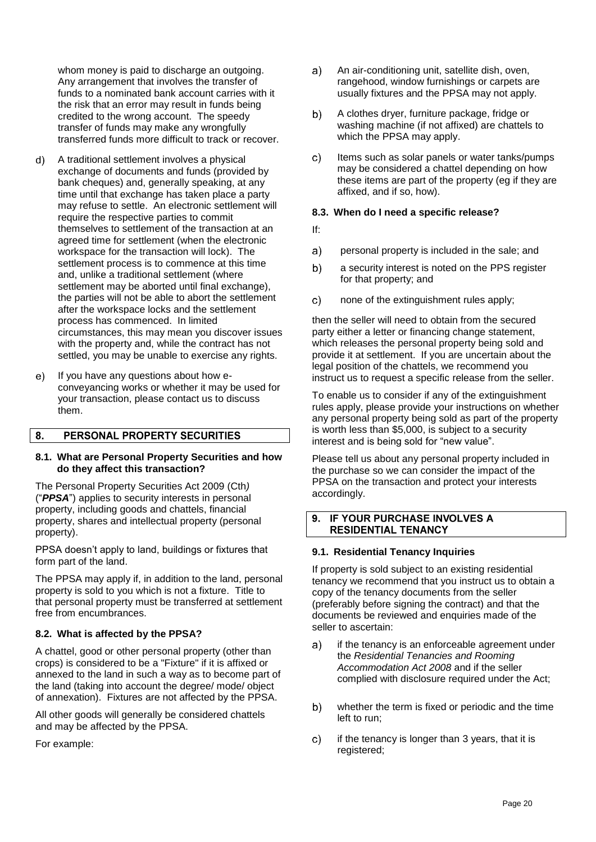whom money is paid to discharge an outgoing. Any arrangement that involves the transfer of funds to a nominated bank account carries with it the risk that an error may result in funds being credited to the wrong account. The speedy transfer of funds may make any wrongfully transferred funds more difficult to track or recover.

- $\mathbf{d}$ A traditional settlement involves a physical exchange of documents and funds (provided by bank cheques) and, generally speaking, at any time until that exchange has taken place a party may refuse to settle. An electronic settlement will require the respective parties to commit themselves to settlement of the transaction at an agreed time for settlement (when the electronic workspace for the transaction will lock). The settlement process is to commence at this time and, unlike a traditional settlement (where settlement may be aborted until final exchange). the parties will not be able to abort the settlement after the workspace locks and the settlement process has commenced. In limited circumstances, this may mean you discover issues with the property and, while the contract has not settled, you may be unable to exercise any rights.
- If you have any questions about how ee) conveyancing works or whether it may be used for your transaction, please contact us to discuss them.

#### $8<sub>1</sub>$ PERSONAL PROPERTY SECURITIES

#### **8.1. What are Personal Property Securities and how do they affect this transaction?**

The Personal Property Securities Act 2009 (Cth*)* ("*PPSA*") applies to security interests in personal property, including goods and chattels, financial property, shares and intellectual property (personal property).

PPSA doesn't apply to land, buildings or fixtures that form part of the land.

The PPSA may apply if, in addition to the land, personal property is sold to you which is not a fixture. Title to that personal property must be transferred at settlement free from encumbrances.

#### **8.2. What is affected by the PPSA?**

A chattel, good or other personal property (other than crops) is considered to be a "Fixture" if it is affixed or annexed to the land in such a way as to become part of the land (taking into account the degree/ mode/ object of annexation). Fixtures are not affected by the PPSA.

All other goods will generally be considered chattels and may be affected by the PPSA.

For example:

- $a)$ An air-conditioning unit, satellite dish, oven, rangehood, window furnishings or carpets are usually fixtures and the PPSA may not apply.
- A clothes dryer, furniture package, fridge or b) washing machine (if not affixed) are chattels to which the PPSA may apply.
- $c)$ Items such as solar panels or water tanks/pumps may be considered a chattel depending on how these items are part of the property (eg if they are affixed, and if so, how).

#### **8.3. When do I need a specific release?**

- If:
- $a)$ personal property is included in the sale; and
- b) a security interest is noted on the PPS register for that property; and
- $c)$ none of the extinguishment rules apply;

then the seller will need to obtain from the secured party either a letter or financing change statement, which releases the personal property being sold and provide it at settlement. If you are uncertain about the legal position of the chattels, we recommend you instruct us to request a specific release from the seller.

To enable us to consider if any of the extinguishment rules apply, please provide your instructions on whether any personal property being sold as part of the property is worth less than \$5,000, is subject to a security interest and is being sold for "new value".

Please tell us about any personal property included in the purchase so we can consider the impact of the PPSA on the transaction and protect your interests accordingly.

#### IF YOUR PURCHASE INVOLVES A  $\mathbf{q}$ **RESIDENTIAL TENANCY**

#### **9.1. Residential Tenancy Inquiries**

If property is sold subject to an existing residential tenancy we recommend that you instruct us to obtain a copy of the tenancy documents from the seller (preferably before signing the contract) and that the documents be reviewed and enquiries made of the seller to ascertain:

- if the tenancy is an enforceable agreement under a) the *Residential Tenancies and Rooming Accommodation Act 2008* and if the seller complied with disclosure required under the Act;
- b) whether the term is fixed or periodic and the time left to run;
- $\mathbf{C}$ if the tenancy is longer than 3 years, that it is registered;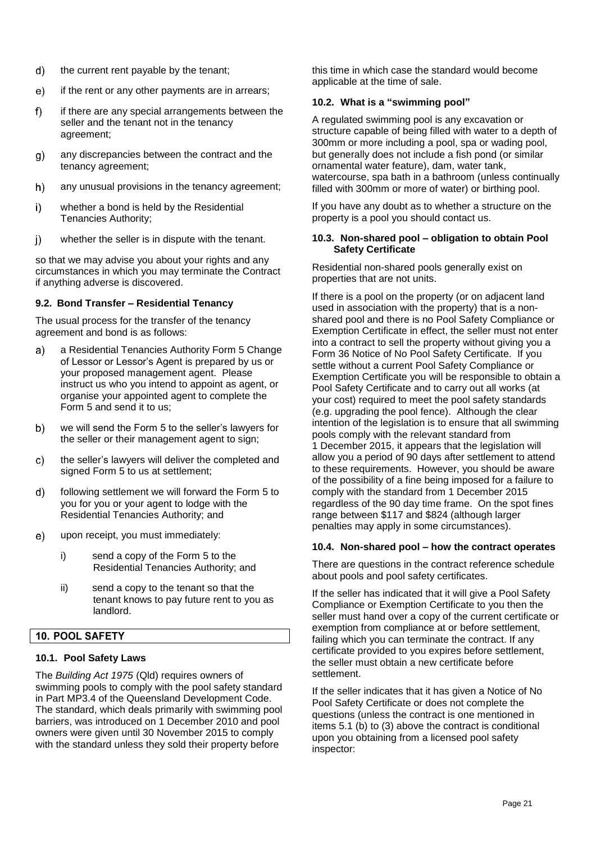- $d)$ the current rent payable by the tenant;
- $e)$ if the rent or any other payments are in arrears;
- $f$ if there are any special arrangements between the seller and the tenant not in the tenancy agreement;
- any discrepancies between the contract and the  $g)$ tenancy agreement;
- $h)$ any unusual provisions in the tenancy agreement;
- i) whether a bond is held by the Residential Tenancies Authority;
- whether the seller is in dispute with the tenant.  $\mathbf{i}$

so that we may advise you about your rights and any circumstances in which you may terminate the Contract if anything adverse is discovered.

### **9.2. Bond Transfer – Residential Tenancy**

The usual process for the transfer of the tenancy agreement and bond is as follows:

- a Residential Tenancies Authority Form 5 Change a) of Lessor or Lessor's Agent is prepared by us or your proposed management agent. Please instruct us who you intend to appoint as agent, or organise your appointed agent to complete the Form 5 and send it to us;
- we will send the Form 5 to the seller's lawyers for b) the seller or their management agent to sign;
- the seller's lawyers will deliver the completed and  $\mathbf{C}$ signed Form 5 to us at settlement;
- following settlement we will forward the Form 5 to  $d)$ you for you or your agent to lodge with the Residential Tenancies Authority; and
- $e)$ upon receipt, you must immediately:
	- i) send a copy of the Form 5 to the Residential Tenancies Authority; and
	- ii) send a copy to the tenant so that the tenant knows to pay future rent to you as landlord.

# **10. POOL SAFETY**

#### **10.1. Pool Safety Laws**

The *Building Act 1975* (Qld) requires owners of swimming pools to comply with the pool safety standard in Part MP3.4 of the Queensland Development Code. The standard, which deals primarily with swimming pool barriers, was introduced on 1 December 2010 and pool owners were given until 30 November 2015 to comply with the standard unless they sold their property before

this time in which case the standard would become applicable at the time of sale.

#### **10.2. What is a "swimming pool"**

A regulated swimming pool is any excavation or structure capable of being filled with water to a depth of 300mm or more including a pool, spa or wading pool, but generally does not include a fish pond (or similar ornamental water feature), dam, water tank, watercourse, spa bath in a bathroom (unless continually filled with 300mm or more of water) or birthing pool.

If you have any doubt as to whether a structure on the property is a pool you should contact us.

#### **10.3. Non-shared pool – obligation to obtain Pool Safety Certificate**

Residential non-shared pools generally exist on properties that are not units.

If there is a pool on the property (or on adjacent land used in association with the property) that is a nonshared pool and there is no Pool Safety Compliance or Exemption Certificate in effect, the seller must not enter into a contract to sell the property without giving you a Form 36 Notice of No Pool Safety Certificate. If you settle without a current Pool Safety Compliance or Exemption Certificate you will be responsible to obtain a Pool Safety Certificate and to carry out all works (at your cost) required to meet the pool safety standards (e.g. upgrading the pool fence). Although the clear intention of the legislation is to ensure that all swimming pools comply with the relevant standard from 1 December 2015, it appears that the legislation will allow you a period of 90 days after settlement to attend to these requirements. However, you should be aware of the possibility of a fine being imposed for a failure to comply with the standard from 1 December 2015 regardless of the 90 day time frame. On the spot fines range between \$117 and \$824 (although larger penalties may apply in some circumstances).

#### **10.4. Non-shared pool – how the contract operates**

There are questions in the contract reference schedule about pools and pool safety certificates.

If the seller has indicated that it will give a Pool Safety Compliance or Exemption Certificate to you then the seller must hand over a copy of the current certificate or exemption from compliance at or before settlement, failing which you can terminate the contract. If any certificate provided to you expires before settlement, the seller must obtain a new certificate before settlement.

If the seller indicates that it has given a Notice of No Pool Safety Certificate or does not complete the questions (unless the contract is one mentioned in items 5.1 (b) to (3) above the contract is conditional upon you obtaining from a licensed pool safety inspector: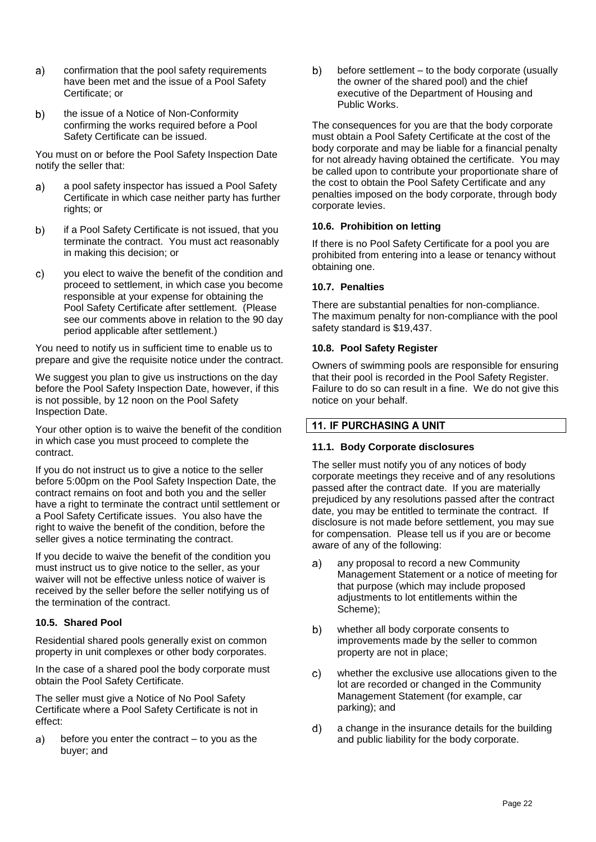- $a)$ confirmation that the pool safety requirements have been met and the issue of a Pool Safety Certificate; or
- the issue of a Notice of Non-Conformity  $b)$ confirming the works required before a Pool Safety Certificate can be issued.

You must on or before the Pool Safety Inspection Date notify the seller that:

- a pool safety inspector has issued a Pool Safety a) Certificate in which case neither party has further rights; or
- if a Pool Safety Certificate is not issued, that you  $b)$ terminate the contract. You must act reasonably in making this decision; or
- you elect to waive the benefit of the condition and  $\mathsf{c}$ proceed to settlement, in which case you become responsible at your expense for obtaining the Pool Safety Certificate after settlement. (Please see our comments above in relation to the 90 day period applicable after settlement.)

You need to notify us in sufficient time to enable us to prepare and give the requisite notice under the contract.

We suggest you plan to give us instructions on the day before the Pool Safety Inspection Date, however, if this is not possible, by 12 noon on the Pool Safety Inspection Date.

Your other option is to waive the benefit of the condition in which case you must proceed to complete the contract.

If you do not instruct us to give a notice to the seller before 5:00pm on the Pool Safety Inspection Date, the contract remains on foot and both you and the seller have a right to terminate the contract until settlement or a Pool Safety Certificate issues. You also have the right to waive the benefit of the condition, before the seller gives a notice terminating the contract.

If you decide to waive the benefit of the condition you must instruct us to give notice to the seller, as your waiver will not be effective unless notice of waiver is received by the seller before the seller notifying us of the termination of the contract.

#### **10.5. Shared Pool**

Residential shared pools generally exist on common property in unit complexes or other body corporates.

In the case of a shared pool the body corporate must obtain the Pool Safety Certificate.

The seller must give a Notice of No Pool Safety Certificate where a Pool Safety Certificate is not in effect:

before you enter the contract – to you as the a) buyer; and

 $b)$ before settlement – to the body corporate (usually the owner of the shared pool) and the chief executive of the Department of Housing and Public Works.

The consequences for you are that the body corporate must obtain a Pool Safety Certificate at the cost of the body corporate and may be liable for a financial penalty for not already having obtained the certificate. You may be called upon to contribute your proportionate share of the cost to obtain the Pool Safety Certificate and any penalties imposed on the body corporate, through body corporate levies.

#### **10.6. Prohibition on letting**

If there is no Pool Safety Certificate for a pool you are prohibited from entering into a lease or tenancy without obtaining one.

### **10.7. Penalties**

There are substantial penalties for non-compliance. The maximum penalty for non-compliance with the pool safety standard is \$19,437.

### **10.8. Pool Safety Register**

Owners of swimming pools are responsible for ensuring that their pool is recorded in the Pool Safety Register. Failure to do so can result in a fine. We do not give this notice on your behalf.

# **11. IF PURCHASING A UNIT**

#### **11.1. Body Corporate disclosures**

The seller must notify you of any notices of body corporate meetings they receive and of any resolutions passed after the contract date. If you are materially prejudiced by any resolutions passed after the contract date, you may be entitled to terminate the contract. If disclosure is not made before settlement, you may sue for compensation. Please tell us if you are or become aware of any of the following:

- any proposal to record a new Community a) Management Statement or a notice of meeting for that purpose (which may include proposed adjustments to lot entitlements within the Scheme);
- b) whether all body corporate consents to improvements made by the seller to common property are not in place;
- c) whether the exclusive use allocations given to the lot are recorded or changed in the Community Management Statement (for example, car parking); and
- $\mathsf{d}$ a change in the insurance details for the building and public liability for the body corporate.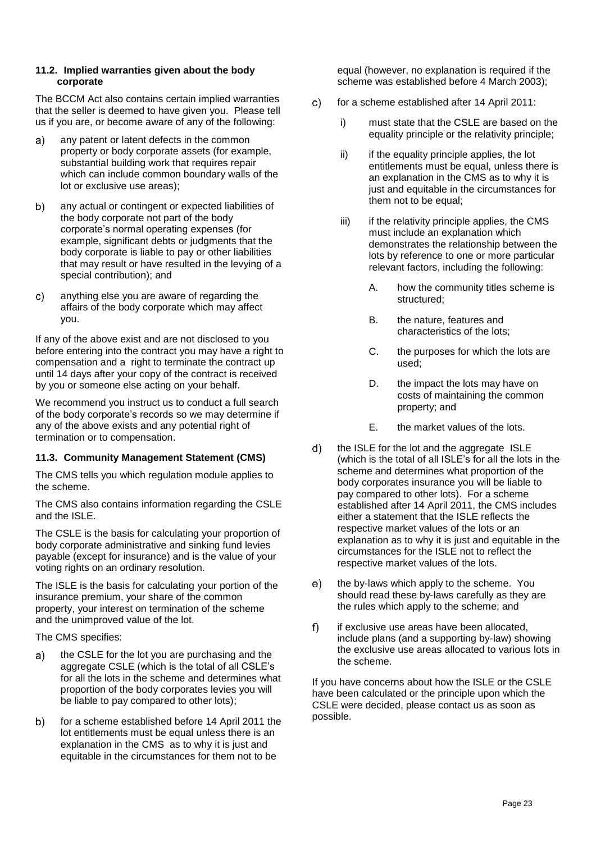#### **11.2. Implied warranties given about the body corporate**

The BCCM Act also contains certain implied warranties that the seller is deemed to have given you. Please tell us if you are, or become aware of any of the following:

- any patent or latent defects in the common  $\mathbf{a}$ property or body corporate assets (for example, substantial building work that requires repair which can include common boundary walls of the lot or exclusive use areas);
- $b)$ any actual or contingent or expected liabilities of the body corporate not part of the body corporate's normal operating expenses (for example, significant debts or judgments that the body corporate is liable to pay or other liabilities that may result or have resulted in the levying of a special contribution); and
- anything else you are aware of regarding the C) affairs of the body corporate which may affect you.

If any of the above exist and are not disclosed to you before entering into the contract you may have a right to compensation and a right to terminate the contract up until 14 days after your copy of the contract is received by you or someone else acting on your behalf.

We recommend you instruct us to conduct a full search of the body corporate's records so we may determine if any of the above exists and any potential right of termination or to compensation.

# **11.3. Community Management Statement (CMS)**

The CMS tells you which regulation module applies to the scheme.

The CMS also contains information regarding the CSLE and the ISLE.

The CSLE is the basis for calculating your proportion of body corporate administrative and sinking fund levies payable (except for insurance) and is the value of your voting rights on an ordinary resolution.

The ISLE is the basis for calculating your portion of the insurance premium, your share of the common property, your interest on termination of the scheme and the unimproved value of the lot.

The CMS specifies:

- the CSLE for the lot you are purchasing and the a) aggregate CSLE (which is the total of all CSLE's for all the lots in the scheme and determines what proportion of the body corporates levies you will be liable to pay compared to other lots);
- $b)$ for a scheme established before 14 April 2011 the lot entitlements must be equal unless there is an explanation in the CMS as to why it is just and equitable in the circumstances for them not to be

equal (however, no explanation is required if the scheme was established before 4 March 2003);

- for a scheme established after 14 April 2011:  $\mathbf{C}$ 
	- i) must state that the CSLE are based on the equality principle or the relativity principle;
	- ii) if the equality principle applies, the lot entitlements must be equal, unless there is an explanation in the CMS as to why it is just and equitable in the circumstances for them not to be equal;
	- $iii)$  if the relativity principle applies, the CMS must include an explanation which demonstrates the relationship between the lots by reference to one or more particular relevant factors, including the following:
		- A. how the community titles scheme is structured;
		- B. the nature, features and characteristics of the lots;
		- C. the purposes for which the lots are used;
		- D. the impact the lots may have on costs of maintaining the common property; and
		- E. the market values of the lots.
- $d)$ the ISLE for the lot and the aggregate ISLE (which is the total of all ISLE's for all the lots in the scheme and determines what proportion of the body corporates insurance you will be liable to pay compared to other lots). For a scheme established after 14 April 2011, the CMS includes either a statement that the ISLE reflects the respective market values of the lots or an explanation as to why it is just and equitable in the circumstances for the ISLE not to reflect the respective market values of the lots.
- $e)$ the by-laws which apply to the scheme. You should read these by-laws carefully as they are the rules which apply to the scheme; and
- $f$ if exclusive use areas have been allocated, include plans (and a supporting by-law) showing the exclusive use areas allocated to various lots in the scheme.

If you have concerns about how the ISLE or the CSLE have been calculated or the principle upon which the CSLE were decided, please contact us as soon as possible.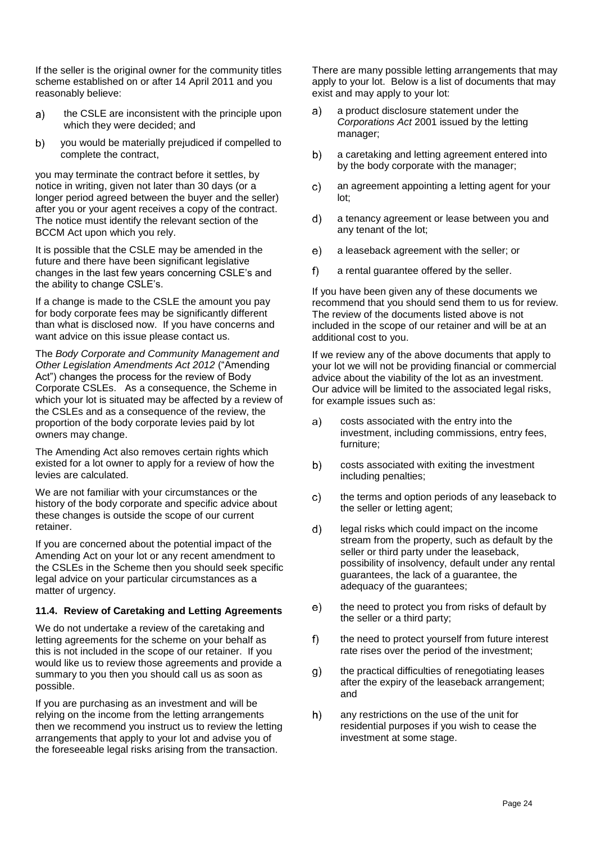If the seller is the original owner for the community titles scheme established on or after 14 April 2011 and you reasonably believe:

- the CSLE are inconsistent with the principle upon  $a)$ which they were decided; and
- $b)$ you would be materially prejudiced if compelled to complete the contract,

you may terminate the contract before it settles, by notice in writing, given not later than 30 days (or a longer period agreed between the buyer and the seller) after you or your agent receives a copy of the contract. The notice must identify the relevant section of the BCCM Act upon which you rely.

It is possible that the CSLE may be amended in the future and there have been significant legislative changes in the last few years concerning CSLE's and the ability to change CSLE's.

If a change is made to the CSLE the amount you pay for body corporate fees may be significantly different than what is disclosed now. If you have concerns and want advice on this issue please contact us.

The *Body Corporate and Community Management and Other Legislation Amendments Act 2012* ("Amending Act") changes the process for the review of Body Corporate CSLEs. As a consequence, the Scheme in which your lot is situated may be affected by a review of the CSLEs and as a consequence of the review, the proportion of the body corporate levies paid by lot owners may change.

The Amending Act also removes certain rights which existed for a lot owner to apply for a review of how the levies are calculated.

We are not familiar with your circumstances or the history of the body corporate and specific advice about these changes is outside the scope of our current retainer.

If you are concerned about the potential impact of the Amending Act on your lot or any recent amendment to the CSLEs in the Scheme then you should seek specific legal advice on your particular circumstances as a matter of urgency.

#### **11.4. Review of Caretaking and Letting Agreements**

We do not undertake a review of the caretaking and letting agreements for the scheme on your behalf as this is not included in the scope of our retainer. If you would like us to review those agreements and provide a summary to you then you should call us as soon as possible.

If you are purchasing as an investment and will be relying on the income from the letting arrangements then we recommend you instruct us to review the letting arrangements that apply to your lot and advise you of the foreseeable legal risks arising from the transaction.

There are many possible letting arrangements that may apply to your lot. Below is a list of documents that may exist and may apply to your lot:

- a product disclosure statement under the a) *Corporations Act* 2001 issued by the letting manager;
- $b)$ a caretaking and letting agreement entered into by the body corporate with the manager;
- $\mathsf{C}$ an agreement appointing a letting agent for your lot;
- $\mathbf{d}$ a tenancy agreement or lease between you and any tenant of the lot;
- $e)$ a leaseback agreement with the seller; or
- $f$ a rental guarantee offered by the seller.

If you have been given any of these documents we recommend that you should send them to us for review. The review of the documents listed above is not included in the scope of our retainer and will be at an additional cost to you.

If we review any of the above documents that apply to your lot we will not be providing financial or commercial advice about the viability of the lot as an investment. Our advice will be limited to the associated legal risks, for example issues such as:

- $a)$ costs associated with the entry into the investment, including commissions, entry fees, furniture;
- b) costs associated with exiting the investment including penalties;
- c) the terms and option periods of any leaseback to the seller or letting agent;
- $d)$ legal risks which could impact on the income stream from the property, such as default by the seller or third party under the leaseback, possibility of insolvency, default under any rental guarantees, the lack of a guarantee, the adequacy of the guarantees;
- the need to protect you from risks of default by  $e)$ the seller or a third party;
- $f$ the need to protect yourself from future interest rate rises over the period of the investment;
- $g)$ the practical difficulties of renegotiating leases after the expiry of the leaseback arrangement; and
- $h)$ any restrictions on the use of the unit for residential purposes if you wish to cease the investment at some stage.